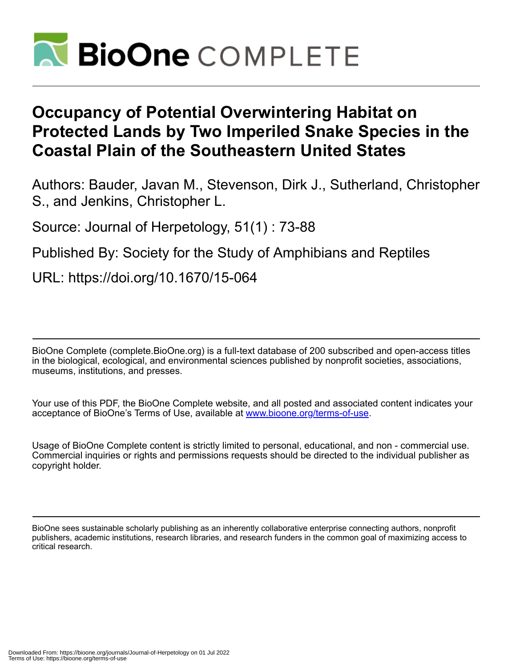

# **Occupancy of Potential Overwintering Habitat on Protected Lands by Two Imperiled Snake Species in the Coastal Plain of the Southeastern United States**

Authors: Bauder, Javan M., Stevenson, Dirk J., Sutherland, Christopher S., and Jenkins, Christopher L.

Source: Journal of Herpetology, 51(1) : 73-88

# Published By: Society for the Study of Amphibians and Reptiles

# URL: https://doi.org/10.1670/15-064

BioOne Complete (complete.BioOne.org) is a full-text database of 200 subscribed and open-access titles in the biological, ecological, and environmental sciences published by nonprofit societies, associations, museums, institutions, and presses.

Your use of this PDF, the BioOne Complete website, and all posted and associated content indicates your acceptance of BioOne's Terms of Use, available at www.bioone.org/terms-of-use.

Usage of BioOne Complete content is strictly limited to personal, educational, and non - commercial use. Commercial inquiries or rights and permissions requests should be directed to the individual publisher as copyright holder.

BioOne sees sustainable scholarly publishing as an inherently collaborative enterprise connecting authors, nonprofit publishers, academic institutions, research libraries, and research funders in the common goal of maximizing access to critical research.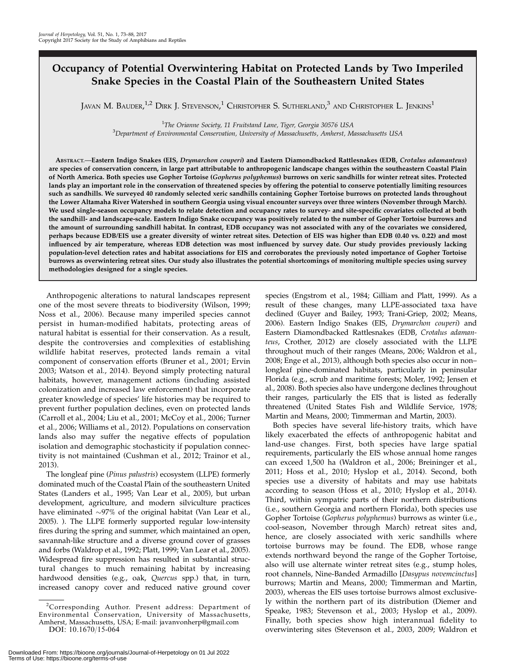# Occupancy of Potential Overwintering Habitat on Protected Lands by Two Imperiled Snake Species in the Coastal Plain of the Southeastern United States

Javan M. Bauder, $^{1,2}$  Dirk J. Stevenson, $^{1}$  Christopher S. Sutherland, $^{3}$  and Christopher L. Jenkins $^{1}$ 

<sup>1</sup>The Orianne Society, 11 Fruitstand Lane, Tiger, Georgia 30576 USA

<sup>1</sup>The Orianne Society, 11 Fruitstand Lane, Tiger, Georgia 30576 USA<br>3Department of Environmental Conservation, University of Massachusetts, Amherst, Massachusetts USA

ABSTRACT.—Eastern Indigo Snakes (EIS, Drymarchon couperi) and Eastern Diamondbacked Rattlesnakes (EDB, Crotalus adamanteus) are species of conservation concern, in large part attributable to anthropogenic landscape changes within the southeastern Coastal Plain of North America. Both species use Gopher Tortoise (Gopherus polyphemus) burrows on xeric sandhills for winter retreat sites. Protected lands play an important role in the conservation of threatened species by offering the potential to conserve potentially limiting resources such as sandhills. We surveyed 40 randomly selected xeric sandhills containing Gopher Tortoise burrows on protected lands throughout the Lower Altamaha River Watershed in southern Georgia using visual encounter surveys over three winters (November through March). We used single-season occupancy models to relate detection and occupancy rates to survey- and site-specific covariates collected at both the sandhill- and landscape-scale. Eastern Indigo Snake occupancy was positively related to the number of Gopher Tortoise burrows and the amount of surrounding sandhill habitat. In contrast, EDB occupancy was not associated with any of the covariates we considered, perhaps because EDB/EIS use a greater diversity of winter retreat sites. Detection of EIS was higher than EDB (0.40 vs. 0.22) and most influenced by air temperature, whereas EDB detection was most influenced by survey date. Our study provides previously lacking population-level detection rates and habitat associations for EIS and corroborates the previously noted importance of Gopher Tortoise burrows as overwintering retreat sites. Our study also illustrates the potential shortcomings of monitoring multiple species using survey methodologies designed for a single species.

Anthropogenic alterations to natural landscapes represent one of the most severe threats to biodiversity (Wilson, 1999; Noss et al., 2006). Because many imperiled species cannot persist in human-modified habitats, protecting areas of natural habitat is essential for their conservation. As a result, despite the controversies and complexities of establishing wildlife habitat reserves, protected lands remain a vital component of conservation efforts (Bruner et al., 2001; Ervin 2003; Watson et al., 2014). Beyond simply protecting natural habitats, however, management actions (including assisted colonization and increased law enforcement) that incorporate greater knowledge of species' life histories may be required to prevent further population declines, even on protected lands (Carroll et al., 2004; Liu et al., 2001; McCoy et al., 2006; Turner et al., 2006; Williams et al., 2012). Populations on conservation lands also may suffer the negative effects of population isolation and demographic stochasticity if population connectivity is not maintained (Cushman et al., 2012; Trainor et al., 2013).

The longleaf pine (Pinus palustris) ecosystem (LLPE) formerly dominated much of the Coastal Plain of the southeastern United States (Landers et al., 1995; Van Lear et al., 2005), but urban development, agriculture, and modern silviculture practices have eliminated  $\sim$ 97% of the original habitat (Van Lear et al., 2005). ). The LLPE formerly supported regular low-intensity fires during the spring and summer, which maintained an open, savannah-like structure and a diverse ground cover of grasses and forbs (Waldrop et al., 1992; Platt, 1999; Van Lear et al., 2005). Widespread fire suppression has resulted in substantial structural changes to much remaining habitat by increasing hardwood densities (e.g., oak, Quercus spp.) that, in turn, increased canopy cover and reduced native ground cover

<sup>2</sup>Corresponding Author. Present address: Department of Environmental Conservation, University of Massachusetts, Amherst, Massachusetts, USA; E-mail: javanvonherp@gmail.com DOI: 10.1670/15-064

species (Engstrom et al., 1984; Gilliam and Platt, 1999). As a result of these changes, many LLPE-associated taxa have declined (Guyer and Bailey, 1993; Trani-Griep, 2002; Means, 2006). Eastern Indigo Snakes (EIS, Drymarchon couperi) and Eastern Diamondbacked Rattlesnakes (EDB, Crotalus adamanteus, Crother, 2012) are closely associated with the LLPE throughout much of their ranges (Means, 2006; Waldron et al., 2008; Enge et al., 2013), although both species also occur in non– longleaf pine-dominated habitats, particularly in peninsular Florida (e.g., scrub and maritime forests; Moler, 1992; Jensen et al., 2008). Both species also have undergone declines throughout their ranges, particularly the EIS that is listed as federally threatened (United States Fish and Wildlife Service, 1978; Martin and Means, 2000; Timmerman and Martin, 2003).

Both species have several life-history traits, which have likely exacerbated the effects of anthropogenic habitat and land-use changes. First, both species have large spatial requirements, particularly the EIS whose annual home ranges can exceed 1,500 ha (Waldron et al., 2006; Breininger et al., 2011; Hoss et al., 2010; Hyslop et al., 2014). Second, both species use a diversity of habitats and may use habitats according to season (Hoss et al., 2010; Hyslop et al., 2014). Third, within sympatric parts of their northern distributions (i.e., southern Georgia and northern Florida), both species use Gopher Tortoise (Gopherus polyphemus) burrows as winter (i.e., cool-season, November through March) retreat sites and, hence, are closely associated with xeric sandhills where tortoise burrows may be found. The EDB, whose range extends northward beyond the range of the Gopher Tortoise, also will use alternate winter retreat sites (e.g., stump holes, root channels, Nine-Banded Armadillo [Dasypus novemcinctus] burrows; Martin and Means, 2000; Timmerman and Martin, 2003), whereas the EIS uses tortoise burrows almost exclusively within the northern part of its distribution (Diemer and Speake, 1983; Stevenson et al., 2003; Hyslop et al., 2009). Finally, both species show high interannual fidelity to overwintering sites (Stevenson et al., 2003, 2009; Waldron et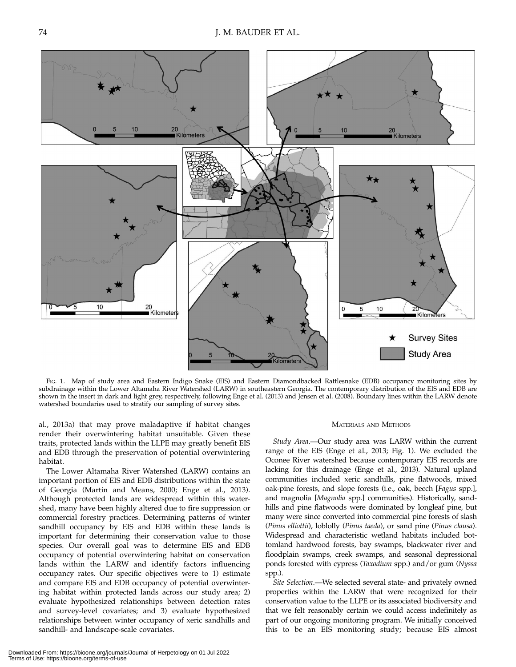

FIG. 1. Map of study area and Eastern Indigo Snake (EIS) and Eastern Diamondbacked Rattlesnake (EDB) occupancy monitoring sites by subdrainage within the Lower Altamaha River Watershed (LARW) in southeastern Georgia. The contemporary distribution of the EIS and EDB are shown in the insert in dark and light grey, respectively, following Enge et al. (2013) and Jensen et al. (2008). Boundary lines within the LARW denote watershed boundaries used to stratify our sampling of survey sites.

al., 2013a) that may prove maladaptive if habitat changes render their overwintering habitat unsuitable. Given these traits, protected lands within the LLPE may greatly benefit EIS and EDB through the preservation of potential overwintering habitat.

The Lower Altamaha River Watershed (LARW) contains an important portion of EIS and EDB distributions within the state of Georgia (Martin and Means, 2000; Enge et al., 2013). Although protected lands are widespread within this watershed, many have been highly altered due to fire suppression or commercial forestry practices. Determining patterns of winter sandhill occupancy by EIS and EDB within these lands is important for determining their conservation value to those species. Our overall goal was to determine EIS and EDB occupancy of potential overwintering habitat on conservation lands within the LARW and identify factors influencing occupancy rates. Our specific objectives were to 1) estimate and compare EIS and EDB occupancy of potential overwintering habitat within protected lands across our study area; 2) evaluate hypothesized relationships between detection rates and survey-level covariates; and 3) evaluate hypothesized relationships between winter occupancy of xeric sandhills and sandhill- and landscape-scale covariates.

#### MATERIALS AND METHODS

Study Area.—Our study area was LARW within the current range of the EIS (Enge et al., 2013; Fig. 1). We excluded the Oconee River watershed because contemporary EIS records are lacking for this drainage (Enge et al., 2013). Natural upland communities included xeric sandhills, pine flatwoods, mixed oak-pine forests, and slope forests (i.e., oak, beech [Fagus spp.], and magnolia [Magnolia spp.] communities). Historically, sandhills and pine flatwoods were dominated by longleaf pine, but many were since converted into commercial pine forests of slash (Pinus elliottii), loblolly (Pinus taeda), or sand pine (Pinus clausa). Widespread and characteristic wetland habitats included bottomland hardwood forests, bay swamps, blackwater river and floodplain swamps, creek swamps, and seasonal depressional ponds forested with cypress (Taxodium spp.) and/or gum (Nyssa spp.).

Site Selection.—We selected several state- and privately owned properties within the LARW that were recognized for their conservation value to the LLPE or its associated biodiversity and that we felt reasonably certain we could access indefinitely as part of our ongoing monitoring program. We initially conceived this to be an EIS monitoring study; because EIS almost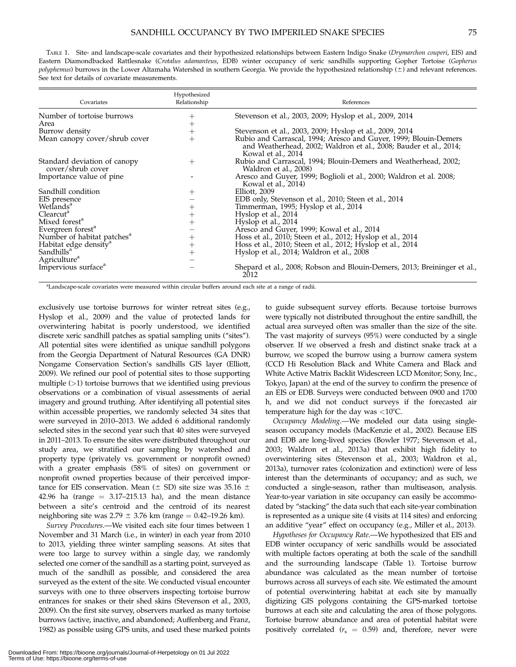polyphemus) burrows in the Lower Altamaha Watershed in southern Georgia. We provide the hypothesized relationship  $(\pm)$  and relevant references.

| Covariates                                                  | Hypothesized<br>Relationship | References                                                                                                                                                  |
|-------------------------------------------------------------|------------------------------|-------------------------------------------------------------------------------------------------------------------------------------------------------------|
| Number of tortoise burrows                                  | $^+$                         | Stevenson et al., 2003, 2009; Hyslop et al., 2009, 2014                                                                                                     |
| Area                                                        | $^+$                         |                                                                                                                                                             |
| Burrow density                                              | $^{+}$                       | Stevenson et al., 2003, 2009; Hyslop et al., 2009, 2014                                                                                                     |
| Mean canopy cover/shrub cover                               | $^{+}$                       | Rubio and Carrascal, 1994; Aresco and Guyer, 1999; Blouin-Demers<br>and Weatherhead, 2002; Waldron et al., 2008; Bauder et al., 2014;<br>Kowal et al., 2014 |
| Standard deviation of canopy<br>cover/shrub cover           | $^{+}$                       | Rubio and Carrascal, 1994; Blouin-Demers and Weatherhead, 2002;<br>Waldron et al., 2008)                                                                    |
| Importance value of pine.                                   |                              | Aresco and Guyer, 1999; Boglioli et al., 2000; Waldron et al. 2008;<br>Kowal et al., 2014)                                                                  |
| Sandhill condition                                          | $^{+}$                       | Elliott, 2009                                                                                                                                               |
| EIS presence                                                |                              | EDB only, Stevenson et al., 2010; Steen et al., 2014                                                                                                        |
| Wetlands <sup>a</sup>                                       | $^{+}$                       | Timmerman, 1995; Hyslop et al., 2014                                                                                                                        |
| Clearcut <sup>a</sup>                                       | $^{+}$                       | Hyslop et al., 2014                                                                                                                                         |
| Mixed forest <sup>a</sup>                                   | $^{+}$                       | Hyslop et al., 2014                                                                                                                                         |
| Evergreen forest <sup>a</sup>                               |                              | Aresco and Guyer, 1999; Kowal et al., 2014                                                                                                                  |
| Number of habitat patches <sup>a</sup>                      | $^{+}$                       | Hoss et al., 2010; Steen et al., 2012; Hyslop et al., 2014                                                                                                  |
|                                                             | $^{+}$                       | Hoss et al., 2010; Steen et al., 2012; Hyslop et al., 2014                                                                                                  |
| Habitat edge density <sup>a</sup><br>Sandhills <sup>a</sup> | $^{+}$                       | Hyslop et al., 2014; Waldron et al., 2008                                                                                                                   |
| Agriculture <sup>a</sup>                                    |                              |                                                                                                                                                             |
| Impervious surface <sup>a</sup>                             |                              | Shepard et al., 2008; Robson and Blouin-Demers, 2013; Breininger et al.,<br>2012                                                                            |

<sup>a</sup>Landscape-scale covariates were measured within circular buffers around each site at a range of radii.

exclusively use tortoise burrows for winter retreat sites (e.g., Hyslop et al., 2009) and the value of protected lands for overwintering habitat is poorly understood, we identified discrete xeric sandhill patches as spatial sampling units ("sites"). All potential sites were identified as unique sandhill polygons from the Georgia Department of Natural Resources (GA DNR) Nongame Conservation Section's sandhills GIS layer (Elliott, 2009). We refined our pool of potential sites to those supporting multiple (>1) tortoise burrows that we identified using previous observations or a combination of visual assessments of aerial imagery and ground truthing. After identifying all potential sites within accessible properties, we randomly selected 34 sites that were surveyed in 2010–2013. We added 6 additional randomly selected sites in the second year such that 40 sites were surveyed in 2011–2013. To ensure the sites were distributed throughout our study area, we stratified our sampling by watershed and property type (privately vs. government or nonprofit owned) with a greater emphasis (58% of sites) on government or nonprofit owned properties because of their perceived importance for EIS conservation. Mean ( $\pm$  SD) site size was 35.16  $\pm$ 42.96 ha (range  $= 3.17-215.13$  ha), and the mean distance between a site's centroid and the centroid of its nearest neighboring site was  $2.79 \pm 3.76$  km (range = 0.42–19.26 km).

See text for details of covariate measurements.

Survey Procedures.—We visited each site four times between 1 November and 31 March (i.e., in winter) in each year from 2010 to 2013, yielding three winter sampling seasons. At sites that were too large to survey within a single day, we randomly selected one corner of the sandhill as a starting point, surveyed as much of the sandhill as possible, and considered the area surveyed as the extent of the site. We conducted visual encounter surveys with one to three observers inspecting tortoise burrow entrances for snakes or their shed skins (Stevenson et al., 2003, 2009). On the first site survey, observers marked as many tortoise burrows (active, inactive, and abandoned; Auffenberg and Franz, 1982) as possible using GPS units, and used these marked points

to guide subsequent survey efforts. Because tortoise burrows were typically not distributed throughout the entire sandhill, the actual area surveyed often was smaller than the size of the site. The vast majority of surveys (95%) were conducted by a single observer. If we observed a fresh and distinct snake track at a burrow, we scoped the burrow using a burrow camera system (CCD Hi Resolution Black and White Camera and Black and White Active Matrix Backlit Widescreen LCD Monitor; Sony, Inc., Tokyo, Japan) at the end of the survey to confirm the presence of an EIS or EDB. Surveys were conducted between 0900 and 1700 h, and we did not conduct surveys if the forecasted air temperature high for the day was  $<$ 10 $°C$ .

Occupancy Modeling.—We modeled our data using singleseason occupancy models (MacKenzie et al., 2002). Because EIS and EDB are long-lived species (Bowler 1977; Stevenson et al., 2003; Waldron et al., 2013a) that exhibit high fidelity to overwintering sites (Stevenson et al., 2003; Waldron et al., 2013a), turnover rates (colonization and extinction) were of less interest than the determinants of occupancy; and as such, we conducted a single-season, rather than multiseason, analysis. Year-to-year variation in site occupancy can easily be accommodated by "stacking" the data such that each site-year combination is represented as a unique site (4 visits at 114 sites) and enforcing an additive "year" effect on occupancy (e.g., Miller et al., 2013).

Hypotheses for Occupancy Rate.—We hypothesized that EIS and EDB winter occupancy of xeric sandhills would be associated with multiple factors operating at both the scale of the sandhill and the surrounding landscape (Table 1). Tortoise burrow abundance was calculated as the mean number of tortoise burrows across all surveys of each site. We estimated the amount of potential overwintering habitat at each site by manually digitizing GIS polygons containing the GPS-marked tortoise burrows at each site and calculating the area of those polygons. Tortoise burrow abundance and area of potential habitat were positively correlated ( $r_s = 0.59$ ) and, therefore, never were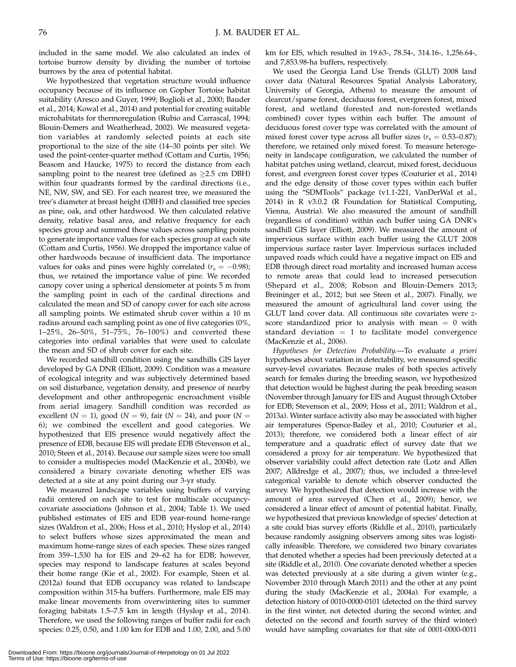included in the same model. We also calculated an index of tortoise burrow density by dividing the number of tortoise burrows by the area of potential habitat.

We hypothesized that vegetation structure would influence occupancy because of its influence on Gopher Tortoise habitat suitability (Aresco and Guyer, 1999; Boglioli et al., 2000; Bauder et al., 2014; Kowal et al., 2014) and potential for creating suitable microhabitats for thermoregulation (Rubio and Carrascal, 1994; Blouin-Demers and Weatherhead, 2002). We measured vegetation variables at randomly selected points at each site proportional to the size of the site (14–30 points per site). We used the point-center-quarter method (Cottam and Curtis, 1956; Beasom and Haucke, 1975) to record the distance from each sampling point to the nearest tree (defined as  $\geq$ 2.5 cm DBH) within four quadrants formed by the cardinal directions (i.e., NE, NW, SW, and SE). For each nearest tree, we measured the tree's diameter at breast height (DBH) and classified tree species as pine, oak, and other hardwood. We then calculated relative density, relative basal area, and relative frequency for each species group and summed these values across sampling points to generate importance values for each species group at each site (Cottam and Curtis, 1956). We dropped the importance value of other hardwoods because of insufficient data. The importance values for oaks and pines were highly correlated ( $r_s = -0.98$ ); thus, we retained the importance value of pine. We recorded canopy cover using a spherical densiometer at points 5 m from the sampling point in each of the cardinal directions and calculated the mean and SD of canopy cover for each site across all sampling points. We estimated shrub cover within a 10 m radius around each sampling point as one of five categories (0%, 1–25%, 26–50%, 51–75%, 76–100%) and converted these categories into ordinal variables that were used to calculate the mean and SD of shrub cover for each site.

We recorded sandhill condition using the sandhills GIS layer developed by GA DNR (Elliott, 2009). Condition was a measure of ecological integrity and was subjectively determined based on soil disturbance, vegetation density, and presence of nearby development and other anthropogenic encroachment visible from aerial imagery. Sandhill condition was recorded as excellent ( $N = 1$ ), good ( $N = 9$ ), fair ( $N = 24$ ), and poor ( $N = 1$ ) 6); we combined the excellent and good categories. We hypothesized that EIS presence would negatively affect the presence of EDB, because EIS will predate EDB (Stevenson et al., 2010; Steen et al., 2014). Because our sample sizes were too small to consider a multispecies model (MacKenzie et al., 2004b), we considered a binary covariate denoting whether EIS was detected at a site at any point during our 3-yr study.

We measured landscape variables using buffers of varying radii centered on each site to test for multiscale occupancycovariate associations (Johnson et al., 2004; Table 1). We used published estimates of EIS and EDB year-round home-range sizes (Waldron et al., 2006; Hoss et al., 2010; Hyslop et al., 2014) to select buffers whose sizes approximated the mean and maximum home-range sizes of each species. These sizes ranged from 359–1,530 ha for EIS and 29–62 ha for EDB; however, species may respond to landscape features at scales beyond their home range (Kie et al., 2002). For example, Steen et al. (2012a) found that EDB occupancy was related to landscape composition within 315-ha buffers. Furthermore, male EIS may make linear movements from overwintering sites to summer foraging habitats 1.5–7.5 km in length (Hyslop et al., 2014). Therefore, we used the following ranges of buffer radii for each species: 0.25, 0.50, and 1.00 km for EDB and 1.00, 2.00, and 5.00

km for EIS, which resulted in 19.63-, 78.54-, 314.16-, 1,256.64-, and 7,853.98-ha buffers, respectively.

We used the Georgia Land Use Trends (GLUT) 2008 land cover data (Natural Resources Spatial Analysis Laboratory, University of Georgia, Athens) to measure the amount of clearcut/sparse forest, deciduous forest, evergreen forest, mixed forest, and wetland (forested and non-forested wetlands combined) cover types within each buffer. The amount of deciduous forest cover type was correlated with the amount of mixed forest cover type across all buffer sizes ( $r_s = 0.53{\text -}0.87$ ); therefore, we retained only mixed forest. To measure heterogeneity in landscape configuration, we calculated the number of habitat patches using wetland, clearcut, mixed forest, deciduous forest, and evergreen forest cover types (Couturier et al., 2014) and the edge density of those cover types within each buffer using the "SDMTools" package (v1.1-221, VanDerWal et al., 2014) in R v3.0.2 (R Foundation for Statistical Computing, Vienna, Austria). We also measured the amount of sandhill (regardless of condition) within each buffer using GA DNR's sandhill GIS layer (Elliott, 2009). We measured the amount of impervious surface within each buffer using the GLUT 2008 impervious surface raster layer. Impervious surfaces included unpaved roads which could have a negative impact on EIS and EDB through direct road mortality and increased human access to remote areas that could lead to increased persecution (Shepard et al., 2008; Robson and Blouin-Demers 2013; Breininger et al., 2012; but see Steen et al., 2007). Finally, we measured the amount of agricultural land cover using the GLUT land cover data. All continuous site covariates were zscore standardized prior to analysis with mean  $= 0$  with standard deviation  $= 1$  to facilitate model convergence (MacKenzie et al., 2006).

Hypotheses for Detection Probability.—To evaluate a priori hypotheses about variation in detectability, we measured specific survey-level covariates. Because males of both species actively search for females during the breeding season, we hypothesized that detection would be highest during the peak breeding season (November through January for EIS and August through October for EDB; Stevenson et al., 2009; Hoss et al., 2011; Waldron et al., 2013a). Winter surface activity also may be associated with higher air temperatures (Spence-Bailey et al., 2010; Couturier et al., 2013); therefore, we considered both a linear effect of air temperature and a quadratic effect of survey date that we considered a proxy for air temperature. We hypothesized that observer variability could affect detection rate (Lotz and Allen 2007; Alldredge et al., 2007); thus, we included a three-level categorical variable to denote which observer conducted the survey. We hypothesized that detection would increase with the amount of area surveyed (Chen et al., 2009); hence, we considered a linear effect of amount of potential habitat. Finally, we hypothesized that previous knowledge of species' detection at a site could bias survey efforts (Riddle et al., 2010), particularly because randomly assigning observers among sites was logistically infeasible. Therefore, we considered two binary covariates that denoted whether a species had been previously detected at a site (Riddle et al., 2010). One covariate denoted whether a species was detected previously at a site during a given winter (e.g., November 2010 through March 2011) and the other at any point during the study (MacKenzie et al., 2004a). For example, a detection history of 0010-0000-0101 (detected on the third survey in the first winter, not detected during the second winter, and detected on the second and fourth survey of the third winter) would have sampling covariates for that site of 0001-0000-0011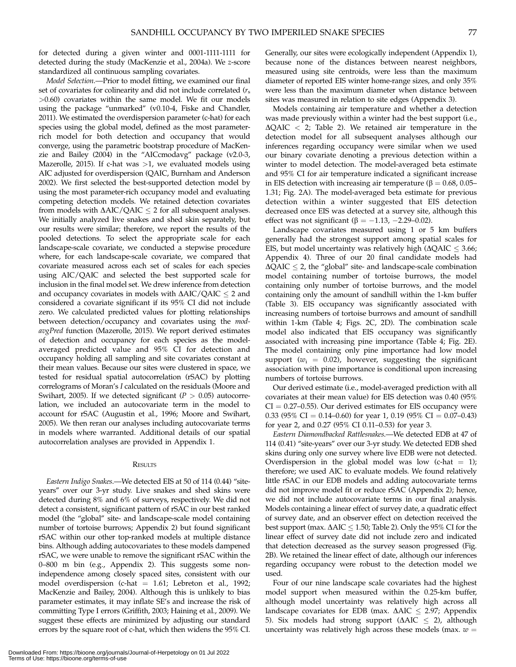for detected during a given winter and 0001-1111-1111 for detected during the study (MacKenzie et al., 2004a). We z-score standardized all continuous sampling covariates.

Model Selection.—Prior to model fitting, we examined our final set of covariates for colinearity and did not include correlated  $(r<sub>s</sub>$  $>0.60$ ) covariates within the same model. We fit our models using the package ''unmarked'' (v0.10-4, Fiske and Chandler, 2011). We estimated the overdispersion parameter (c-hat) for each species using the global model, defined as the most parameterrich model for both detection and occupancy that would converge, using the parametric bootstrap procedure of MacKenzie and Bailey (2004) in the ''AICcmodavg'' package (v2.0-3, Mazerolle, 2015). If c-hat was  $>1$ , we evaluated models using AIC adjusted for overdispersion (QAIC, Burnham and Anderson 2002). We first selected the best-supported detection model by using the most parameter-rich occupancy model and evaluating competing detection models. We retained detection covariates from models with  $\Delta AIC/QAIC \leq 2$  for all subsequent analyses. We initially analyzed live snakes and shed skin separately, but our results were similar; therefore, we report the results of the pooled detections. To select the appropriate scale for each landscape-scale covariate, we conducted a stepwise procedure where, for each landscape-scale covariate, we compared that covariate measured across each set of scales for each species using AIC/QAIC and selected the best supported scale for inclusion in the final model set. We drew inference from detection and occupancy covariates in models with  $\Delta AIC/QAIC \leq 2$  and considered a covariate significant if its 95% CI did not include zero. We calculated predicted values for plotting relationships between detection/occupancy and covariates using the modavgPred function (Mazerolle, 2015). We report derived estimates of detection and occupancy for each species as the modelaveraged predicted value and 95% CI for detection and occupancy holding all sampling and site covariates constant at their mean values. Because our sites were clustered in space, we tested for residual spatial autocorrelation (rSAC) by plotting correlograms of Moran's I calculated on the residuals (Moore and Swihart, 2005). If we detected significant ( $P > 0.05$ ) autocorrelation, we included an autocovariate term in the model to account for rSAC (Augustin et al., 1996; Moore and Swihart, 2005). We then reran our analyses including autocovariate terms in models where warranted. Additional details of our spatial autocorrelation analyses are provided in Appendix 1.

#### **RESULTS**

Eastern Indigo Snakes.—We detected EIS at 50 of 114 (0.44) ''siteyears'' over our 3-yr study. Live snakes and shed skins were detected during 8% and 6% of surveys, respectively. We did not detect a consistent, significant pattern of rSAC in our best ranked model (the ''global'' site- and landscape-scale model containing number of tortoise burrows; Appendix 2) but found significant rSAC within our other top-ranked models at multiple distance bins. Although adding autocovariates to these models dampened rSAC, we were unable to remove the significant rSAC within the 0–800 m bin (e.g., Appendix 2). This suggests some nonindependence among closely spaced sites, consistent with our model overdispersion (c-hat = 1.61; Lebreton et al., 1992; MacKenzie and Bailey, 2004). Although this is unlikely to bias parameter estimates, it may inflate SE's and increase the risk of committing Type I errors (Griffith, 2003; Haining et al., 2009). We suggest these effects are minimized by adjusting our standard errors by the square root of c-hat, which then widens the 95% CI.

Generally, our sites were ecologically independent (Appendix 1), because none of the distances between nearest neighbors, measured using site centroids, were less than the maximum diameter of reported EIS winter home-range sizes, and only 35% were less than the maximum diameter when distance between sites was measured in relation to site edges (Appendix 3).

Models containing air temperature and whether a detection was made previously within a winter had the best support (i.e.,  $\Delta QAIC < 2$ ; Table 2). We retained air temperature in the detection model for all subsequent analyses although our inferences regarding occupancy were similar when we used our binary covariate denoting a previous detection within a winter to model detection. The model-averaged beta estimate and 95% CI for air temperature indicated a significant increase in EIS detection with increasing air temperature ( $\beta = 0.68$ , 0.05– 1.31; Fig. 2A). The model-averaged beta estimate for previous detection within a winter suggested that EIS detection decreased once EIS was detected at a survey site, although this effect was not significant ( $\beta = -1.13$ , -2.29-0.02).

Landscape covariates measured using 1 or 5 km buffers generally had the strongest support among spatial scales for EIS, but model uncertainty was relatively high ( $\Delta$ QAIC  $\leq$  3.66; Appendix 4). Three of our 20 final candidate models had  $\Delta QAIC \leq 2$ , the "global" site- and landscape-scale combination model containing number of tortoise burrows, the model containing only number of tortoise burrows, and the model containing only the amount of sandhill within the 1-km buffer (Table 3). EIS occupancy was significantly associated with increasing numbers of tortoise burrows and amount of sandhill within 1-km (Table 4; Figs. 2C, 2D). The combination scale model also indicated that EIS occupancy was significantly associated with increasing pine importance (Table 4; Fig. 2E). The model containing only pine importance had low model support ( $w_i = 0.02$ ), however, suggesting the significant association with pine importance is conditional upon increasing numbers of tortoise burrows.

Our derived estimate (i.e., model-averaged prediction with all covariates at their mean value) for EIS detection was 0.40 (95%  $CI = 0.27 - 0.55$ ). Our derived estimates for EIS occupancy were 0.33 (95% CI = 0.14–0.60) for year 1, 0.19 (95% CI = 0.07–0.43) for year 2, and 0.27 (95% CI 0.11–0.53) for year 3.

Eastern Diamondbacked Rattlesnakes.—We detected EDB at 47 of 114 (0.41) ''site-years'' over our 3-yr study. We detected EDB shed skins during only one survey where live EDB were not detected. Overdispersion in the global model was low (c-hat  $= 1$ ); therefore; we used AIC to evaluate models. We found relatively little rSAC in our EDB models and adding autocovariate terms did not improve model fit or reduce rSAC (Appendix 2); hence, we did not include autocovariate terms in our final analysis. Models containing a linear effect of survey date, a quadratic effect of survey date, and an observer effect on detection received the best support (max.  $\Delta {\rm AIC} \le 1.50$ ; Table 2). Only the 95% CI for the linear effect of survey date did not include zero and indicated that detection decreased as the survey season progressed (Fig. 2B). We retained the linear effect of date, although our inferences regarding occupancy were robust to the detection model we used.

Four of our nine landscape scale covariates had the highest model support when measured within the 0.25-km buffer, although model uncertainty was relatively high across all landscape covariates for EDB (max.  $\Delta AIC \leq 2.97$ ; Appendix 5). Six models had strong support ( $\Delta AIC \leq 2$ ), although uncertainty was relatively high across these models (max.  $w =$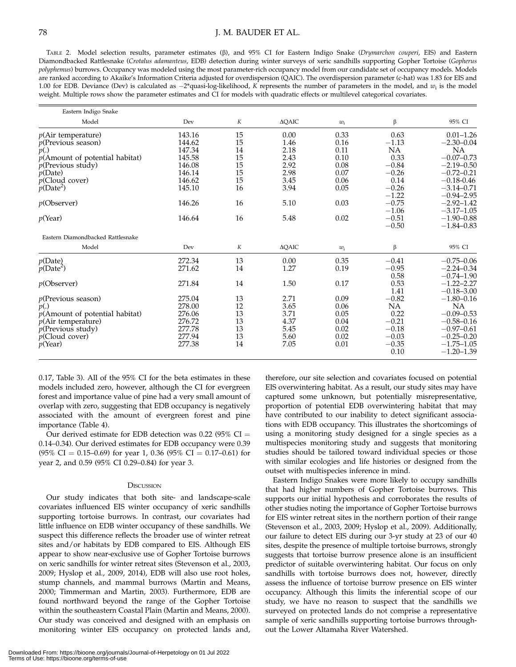### 78 J. M. BAUDER ET AL.

TABLE 2. Model selection results, parameter estimates ( $\beta$ ), and 95% CI for Eastern Indigo Snake (Drymarchon couperi, EIS) and Eastern Diamondbacked Rattlesnake (Crotalus adamanteus, EDB) detection during winter surveys of xeric sandhills supporting Gopher Tortoise (Gopherus polyphemus) burrows. Occupancy was modeled using the most parameter-rich occupancy model from our candidate set of occupancy models. Models are ranked according to Akaike's Information Criteria adjusted for overdispersion (QAIC). The overdispersion parameter (c-hat) was 1.83 for EIS and 1.00 for EDB. Deviance (Dev) is calculated as  $-2^*$ quasi-log-likelihood, K represents the number of parameters in the model, and  $w_i$  is the model weight. Multiple rows show the parameter estimates and CI for models with quadratic effects or multilevel categorical covariates.

| Eastern Indigo Snake              |        |    |                  |       |           |                |
|-----------------------------------|--------|----|------------------|-------|-----------|----------------|
| Model                             | Dev    | K  | $\triangle$ OAIC | $w_i$ | β         | 95% CI         |
| $p(Air$ temperature)              | 143.16 | 15 | 0.00             | 0.33  | 0.63      | $0.01 - 1.26$  |
| $p$ (Previous season)             | 144.62 | 15 | 1.46             | 0.16  | $-1.13$   | $-2.30 - 0.04$ |
| p(.)                              | 147.34 | 14 | 2.18             | 0.11  | <b>NA</b> | <b>NA</b>      |
| $p(A$ mount of potential habitat) | 145.58 | 15 | 2.43             | 0.10  | 0.33      | $-0.07 - 0.73$ |
| $p$ (Previous study)              | 146.08 | 15 | 2.92             | 0.08  | $-0.84$   | $-2.19 - 0.50$ |
| p(Date)                           | 146.14 | 15 | 2.98             | 0.07  | $-0.26$   | $-0.72 - 0.21$ |
| $p$ (Cloud cover)                 | 146.62 | 15 | 3.45             | 0.06  | 0.14      | $-0.18 - 0.46$ |
| $p(Date^2)$                       | 145.10 | 16 | 3.94             | 0.05  | $-0.26$   | $-3.14 - 0.71$ |
|                                   |        |    |                  |       | $-1.22$   | $-0.94 - 2.95$ |
| $p$ (Observer)                    | 146.26 | 16 | 5.10             | 0.03  | $-0.75$   | $-2.92 - 1.42$ |
|                                   |        |    |                  |       | $-1.06$   | $-3.17 - 1.05$ |
| p(Year)                           | 146.64 | 16 | 5.48             | 0.02  | $-0.51$   | $-1.90 - 0.88$ |
|                                   |        |    |                  |       | $-0.50$   | $-1.84 - 0.83$ |
| Eastern Diamondbacked Rattlesnake |        |    |                  |       |           |                |
| Model                             | Dev    | K  | <b>AQAIC</b>     | $w_i$ | β         | 95% CI         |
| p(Date)                           | 272.34 | 13 | 0.00             | 0.35  | $-0.41$   | $-0.75 - 0.06$ |
| $p(Date^2)$                       | 271.62 | 14 | 1.27             | 0.19  | $-0.95$   | $-2.24 - 0.34$ |
|                                   |        |    |                  |       | 0.58      | $-0.74 - 1.90$ |
| $p$ (Observer)                    | 271.84 | 14 | 1.50             | 0.17  | 0.53      | $-1.22 - 2.27$ |
|                                   |        |    |                  |       | 1.41      | $-0.18 - 3.00$ |
| $p$ (Previous season)             | 275.04 | 13 | 2.71             | 0.09  | $-0.82$   | $-1.80 - 0.16$ |
| p(.)                              | 278.00 | 12 | 3.65             | 0.06  | <b>NA</b> | <b>NA</b>      |
| $p(A$ mount of potential habitat) | 276.06 | 13 | 3.71             | 0.05  | 0.22      | $-0.09 - 0.53$ |
| $p(Air$ temperature)              | 276.72 | 13 | 4.37             | 0.04  | $-0.21$   | $-0.58 - 0.16$ |
| $p$ (Previous study)              | 277.78 | 13 | 5.45             | 0.02  | $-0.18$   | $-0.97 - 0.61$ |
| $p$ (Cloud cover)                 | 277.94 | 13 | 5.60             | 0.02  | $-0.03$   | $-0.25 - 0.20$ |
| p(Year)                           | 277.38 | 14 | 7.05             | 0.01  | $-0.35$   | $-1.75 - 1.05$ |
|                                   |        |    |                  |       | 0.10      | $-1.20 - 1.39$ |
|                                   |        |    |                  |       |           |                |

0.17, Table 3). All of the 95% CI for the beta estimates in these models included zero, however, although the CI for evergreen forest and importance value of pine had a very small amount of overlap with zero, suggesting that EDB occupancy is negatively associated with the amount of evergreen forest and pine importance (Table 4).

Our derived estimate for EDB detection was 0.22 (95%  $CI =$ 0.14–0.34). Our derived estimates for EDB occupancy were 0.39 (95% CI = 0.15–0.69) for year 1, 0.36 (95% CI = 0.17–0.61) for year 2, and 0.59 (95% CI 0.29–0.84) for year 3.

#### **DISCUSSION**

Our study indicates that both site- and landscape-scale covariates influenced EIS winter occupancy of xeric sandhills supporting tortoise burrows. In contrast, our covariates had little influence on EDB winter occupancy of these sandhills. We suspect this difference reflects the broader use of winter retreat sites and/or habitats by EDB compared to EIS. Although EIS appear to show near-exclusive use of Gopher Tortoise burrows on xeric sandhills for winter retreat sites (Stevenson et al., 2003, 2009; Hyslop et al., 2009, 2014), EDB will also use root holes, stump channels, and mammal burrows (Martin and Means, 2000; Timmerman and Martin, 2003). Furthermore, EDB are found northward beyond the range of the Gopher Tortoise within the southeastern Coastal Plain (Martin and Means, 2000). Our study was conceived and designed with an emphasis on monitoring winter EIS occupancy on protected lands and,

Downloaded From: https://bioone.org/journals/Journal-of-Herpetology on 01 Jul 2022 Terms of Use: https://bioone.org/terms-of-use

therefore, our site selection and covariates focused on potential EIS overwintering habitat. As a result, our study sites may have captured some unknown, but potentially misrepresentative, proportion of potential EDB overwintering habitat that may have contributed to our inability to detect significant associations with EDB occupancy. This illustrates the shortcomings of using a monitoring study designed for a single species as a multispecies monitoring study and suggests that monitoring studies should be tailored toward individual species or those with similar ecologies and life histories or designed from the outset with multispecies inference in mind.

Eastern Indigo Snakes were more likely to occupy sandhills that had higher numbers of Gopher Tortoise burrows. This supports our initial hypothesis and corroborates the results of other studies noting the importance of Gopher Tortoise burrows for EIS winter retreat sites in the northern portion of their range (Stevenson et al., 2003, 2009; Hyslop et al., 2009). Additionally, our failure to detect EIS during our 3-yr study at 23 of our 40 sites, despite the presence of multiple tortoise burrows, strongly suggests that tortoise burrow presence alone is an insufficient predictor of suitable overwintering habitat. Our focus on only sandhills with tortoise burrows does not, however, directly assess the influence of tortoise burrow presence on EIS winter occupancy. Although this limits the inferential scope of our study, we have no reason to suspect that the sandhills we surveyed on protected lands do not comprise a representative sample of xeric sandhills supporting tortoise burrows throughout the Lower Altamaha River Watershed.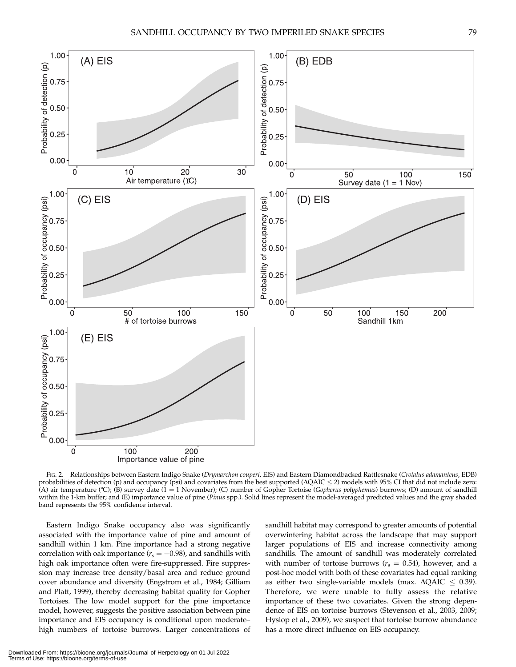

FIG. 2. Relationships between Eastern Indigo Snake (Drymarchon couperi, EIS) and Eastern Diamondbacked Rattlesnake (Crotalus adamanteus, EDB) probabilities of detection (p) and occupancy (psi) and covariates from the best supported ( $\Delta QAIC \leq 2$ ) models with 95% CI that did not include zero: (A) air temperature ( $\degree$ C); (B) survey date (1 = 1 November); (C) number of Gopher Tortoise (Gopherus polyphemus) burrows; (D) amount of sandhill within the 1-km buffer; and (E) importance value of pine (Pinus spp.). Solid lines represent the model-averaged predicted values and the gray shaded band represents the 95% confidence interval.

Eastern Indigo Snake occupancy also was significantly associated with the importance value of pine and amount of sandhill within 1 km. Pine importance had a strong negative correlation with oak importance  $(r<sub>s</sub> = -0.98)$ , and sandhills with high oak importance often were fire-suppressed. Fire suppression may increase tree density/basal area and reduce ground cover abundance and diversity (Engstrom et al., 1984; Gilliam and Platt, 1999), thereby decreasing habitat quality for Gopher Tortoises. The low model support for the pine importance model, however, suggests the positive association between pine importance and EIS occupancy is conditional upon moderate– high numbers of tortoise burrows. Larger concentrations of sandhill habitat may correspond to greater amounts of potential overwintering habitat across the landscape that may support larger populations of EIS and increase connectivity among sandhills. The amount of sandhill was moderately correlated with number of tortoise burrows ( $r_s = 0.54$ ), however, and a post-hoc model with both of these covariates had equal ranking as either two single-variable models (max.  $\Delta QAIC \leq 0.39$ ). Therefore, we were unable to fully assess the relative importance of these two covariates. Given the strong dependence of EIS on tortoise burrows (Stevenson et al., 2003, 2009; Hyslop et al., 2009), we suspect that tortoise burrow abundance has a more direct influence on EIS occupancy.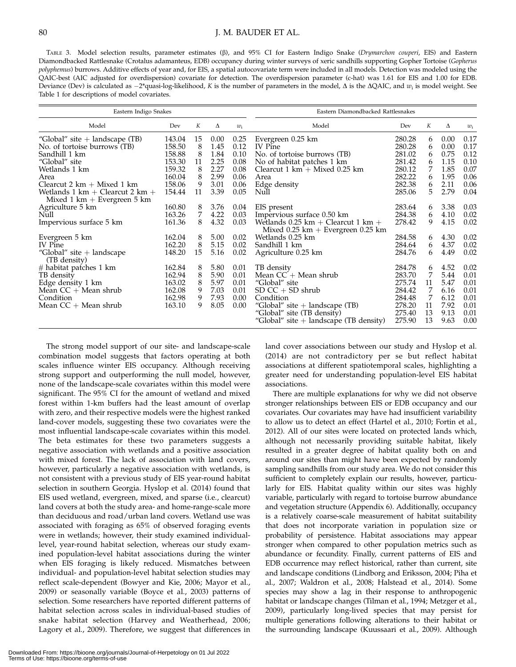### 80 J. M. BAUDER ET AL.

TABLE 3. Model selection results, parameter estimates ( $\beta$ ), and 95% CI for Eastern Indigo Snake (Drymarchon couperi, EIS) and Eastern Diamondbacked Rattlesnake (Crotalus adamanteus, EDB) occupancy during winter surveys of xeric sandhills supporting Gopher Tortoise (Gopherus polyphemus) burrows. Additive effects of year and, for EIS, a spatial autocovariate term were included in all models. Detection was modeled using the QAIC-best (AIC adjusted for overdispersion) covariate for detection. The overdispersion parameter (c-hat) was 1.61 for EIS and 1.00 for EDB. Deviance (Dev) is calculated as  $-2^*$ quasi-log-likelihood, K is the number of parameters in the model,  $\Delta$  is the  $\Delta QAIC$ , and  $w_i$  is model weight. See Table 1 for descriptions of model covariates.

| Eastern Indigo Snakes                                |        |    |      |       | Eastern Diamondbacked Rattlesnakes                          |        |    |      |       |
|------------------------------------------------------|--------|----|------|-------|-------------------------------------------------------------|--------|----|------|-------|
| Model                                                | Dev    | K  | Δ    | $w_i$ | Model                                                       | Dev    | K  | Δ    | $w_i$ |
| "Global" site $+$ landscape (TB)                     | 143.04 | 15 | 0.00 | 0.25  | Evergreen 0.25 km                                           | 280.28 | 6  | 0.00 | 0.17  |
| No. of tortoise burrows (TB)                         | 158.50 | 8  | 1.45 | 0.12  | IV Pine                                                     | 280.28 | 6  | 0.00 | 0.17  |
| Sandhill 1 km                                        | 158.88 | 8  | 1.84 | 0.10  | No. of tortoise burrows (TB)                                | 281.02 | 6  | 0.75 | 0.12  |
| "Global" site                                        | 153.30 | 11 | 2.25 | 0.08  | No of habitat patches 1 km                                  | 281.42 | 6  | 1.15 | 0.10  |
| Wetlands 1 km                                        | 159.32 | 8  | 2.27 | 0.08  | Clearcut 1 km + Mixed 0.25 km                               | 280.12 | 7  | 1.85 | 0.07  |
| Area                                                 | 160.04 | 8  | 2.99 | 0.06  | Area                                                        | 282.22 | 6  | 1.95 | 0.06  |
| Clearcut $2 \text{ km} + \text{Mixed } 1 \text{ km}$ | 158.06 | 9  | 3.01 | 0.06  | Edge density                                                | 282.38 | 6  | 2.11 | 0.06  |
| Wetlands 1 km + Clearcut 2 km +                      | 154.44 | 11 | 3.39 | 0.05  | Null                                                        | 285.06 | 5. | 2.79 | 0.04  |
| Mixed $1 \text{ km} + \text{Evergence}$ 5 km         |        |    |      |       |                                                             |        |    |      |       |
| Agriculture 5 km                                     | 160.80 | 8  | 3.76 | 0.04  | EIS present                                                 | 283.64 | 6  | 3.38 | 0.03  |
| Null                                                 | 163.26 | 7  | 4.22 | 0.03  | Impervious surface 0.50 km                                  | 284.38 | 6  | 4.10 | 0.02  |
| Impervious surface 5 km                              | 161.36 | 8  | 4.32 | 0.03  | Wetlands $0.25 \text{ km} + \text{Clearcut} 1 \text{ km} +$ | 278.42 | 9  | 4.15 | 0.02  |
|                                                      |        |    |      |       | Mixed $0.25 \text{ km} + \text{Evergence}$ 0.25 km          |        |    |      |       |
| Evergreen 5 km                                       | 162.04 | 8  | 5.00 | 0.02  | Wetlands 0.25 km                                            | 284.58 | 6  | 4.30 | 0.02  |
| IV Pine                                              | 162.20 | 8  | 5.15 | 0.02  | Sandhill 1 km                                               | 284.64 | 6  | 4.37 | 0.02  |
| "Global" site $+$ landscape                          | 148.20 | 15 | 5.16 | 0.02  | Agriculture 0.25 km                                         | 284.76 | 6  | 4.49 | 0.02  |
| (TB density)                                         |        |    |      |       |                                                             |        |    |      |       |
| # habitat patches 1 km                               | 162.84 | 8  | 5.80 | 0.01  | TB density                                                  | 284.78 | 6  | 4.52 | 0.02  |
| TB density                                           | 162.94 | 8  | 5.90 | 0.01  | Mean $CC + Mean$ shrub                                      | 283.70 | 7  | 5.44 | 0.01  |
| Edge density 1 km                                    | 163.02 | 8  | 5.97 | 0.01  | "Global" site                                               | 275.74 | 11 | 5.47 | 0.01  |
| Mean $CC + Mean$ shrub                               | 162.08 | 9  | 7.03 | 0.01  | $SD CC + SD$ shrub                                          | 284.42 | 7  | 6.16 | 0.01  |
| Condition                                            | 162.98 | 9  | 7.93 | 0.00  | Condition                                                   | 284.48 | 7  | 6.12 | 0.01  |
| Mean $CC + Mean$ shrub                               | 163.10 | 9  | 8.05 | 0.00  | "Global" site $+$ landscape (TB)                            | 278.20 | 11 | 7.92 | 0.01  |
|                                                      |        |    |      |       | "Global" site (TB density)                                  | 275.40 | 13 | 9.13 | 0.01  |
|                                                      |        |    |      |       | "Global" site $+$ landscape (TB density)                    | 275.90 | 13 | 9.63 | 0.00  |
|                                                      |        |    |      |       |                                                             |        |    |      |       |

The strong model support of our site- and landscape-scale combination model suggests that factors operating at both scales influence winter EIS occupancy. Although receiving strong support and outperforming the null model, however, none of the landscape-scale covariates within this model were significant. The 95% CI for the amount of wetland and mixed forest within 1-km buffers had the least amount of overlap with zero, and their respective models were the highest ranked land-cover models, suggesting these two covariates were the most influential landscape-scale covariates within this model. The beta estimates for these two parameters suggests a negative association with wetlands and a positive association with mixed forest. The lack of association with land covers, however, particularly a negative association with wetlands, is not consistent with a previous study of EIS year-round habitat selection in southern Georgia. Hyslop et al. (2014) found that EIS used wetland, evergreen, mixed, and sparse (i.e., clearcut) land covers at both the study area- and home-range-scale more than deciduous and road/urban land covers. Wetland use was associated with foraging as 65% of observed foraging events were in wetlands; however, their study examined individuallevel, year-round habitat selection, whereas our study examined population-level habitat associations during the winter when EIS foraging is likely reduced. Mismatches between individual- and population-level habitat selection studies may reflect scale-dependent (Bowyer and Kie, 2006; Mayor et al., 2009) or seasonally variable (Boyce et al., 2003) patterns of selection. Some researchers have reported different patterns of habitat selection across scales in individual-based studies of snake habitat selection (Harvey and Weatherhead, 2006; Lagory et al., 2009). Therefore, we suggest that differences in

greater need for understanding population-level EIS habitat associations. There are multiple explanations for why we did not observe stronger relationships between EIS or EDB occupancy and our

land cover associations between our study and Hyslop et al. (2014) are not contradictory per se but reflect habitat associations at different spatiotemporal scales, highlighting a

covariates. Our covariates may have had insufficient variability to allow us to detect an effect (Hartel et al., 2010; Fortin et al., 2012). All of our sites were located on protected lands which, although not necessarily providing suitable habitat, likely resulted in a greater degree of habitat quality both on and around our sites than might have been expected by randomly sampling sandhills from our study area. We do not consider this sufficient to completely explain our results, however, particularly for EIS. Habitat quality within our sites was highly variable, particularly with regard to tortoise burrow abundance and vegetation structure (Appendix 6). Additionally, occupancy is a relatively coarse-scale measurement of habitat suitability that does not incorporate variation in population size or probability of persistence. Habitat associations may appear stronger when compared to other population metrics such as abundance or fecundity. Finally, current patterns of EIS and EDB occurrence may reflect historical, rather than current, site and landscape conditions (Lindborg and Eriksson, 2004; Piha et al., 2007; Waldron et al., 2008; Halstead et al., 2014). Some species may show a lag in their response to anthropogenic habitat or landscape changes (Tilman et al., 1994; Metzger et al., 2009), particularly long-lived species that may persist for multiple generations following alterations to their habitat or the surrounding landscape (Kuussaari et al., 2009). Although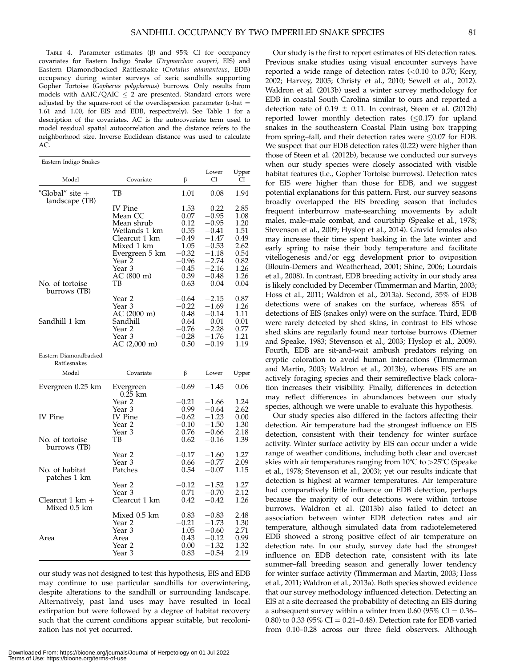TABLE 4. Parameter estimates  $(\beta)$  and 95% CI for occupancy covariates for Eastern Indigo Snake (Drymarchon couperi, EIS) and Eastern Diamondbacked Rattlesnake (Crotalus adamanteus, EDB) occupancy during winter surveys of xeric sandhills supporting Gopher Tortoise (Gopherus polyphemus) burrows. Only results from models with  $\Delta$ AIC/QAIC  $\leq$  2 are presented. Standard errors were adjusted by the square-root of the overdispersion parameter (c-hat  $=$ 1.61 and 1.00, for EIS and EDB, respectively). See Table 1 for a description of the covariates. AC is the autocovariate term used to model residual spatial autocorrelation and the distance refers to the neighborhood size. Inverse Euclidean distance was used to calculate AC.

| Eastern Indigo Snakes                 |                                    |                        |                    |              |
|---------------------------------------|------------------------------------|------------------------|--------------------|--------------|
|                                       |                                    |                        | Lower              | Upper        |
| Model                                 | Covariate                          | β                      | <b>CI</b>          | CI           |
| "Global" site +<br>landscape (TB)     | TB                                 | 1.01                   | 0.08               | 1.94         |
|                                       | IV Pine                            | 1.53                   | 0.22               | 2.85         |
|                                       | Mean CC                            | 0.07                   | $-0.95$            | 1.08         |
|                                       | Mean shrub                         | 0.12                   | $-0.95$            | 1.20         |
|                                       | Wetlands 1 km                      | 0.55                   | $-0.41$            | 1.51         |
|                                       | Clearcut 1 km                      | $-0.49$                | $-1.47$            | 0.49         |
|                                       | Mixed 1 km                         | 1.05                   | $-0.53$            | 2.62         |
|                                       | Evergreen 5 km                     | $-0.32$                | $-1.18$            | 0.54         |
|                                       | Year <sup>7</sup>                  | $-0.96$                | $-2.74$            | 0.82         |
|                                       | Year 3                             | $^{\rm -0.45}$<br>0.39 | $-2.16$<br>$-0.48$ | 1.26<br>1.26 |
| No. of tortoise<br>burrows (TB)       | AC (800 m)<br>TВ                   | 0.63                   | 0.04               | 0.04         |
|                                       | Year 2                             | $-0.64$                | $-2.15$            | 0.87         |
|                                       | Year 3                             | $-0.22$                | $-1.69$            | 1.26         |
|                                       | AC (2000 m)                        | 0.48                   | $-0.14$            | 1.11         |
| Sandhill 1 km                         | Sandhill                           | 0.64                   | 0.01               | 0.01         |
|                                       | Year 2                             | $-0.76$                | $-2.28$            | 0.77         |
|                                       | Year 3                             | $-0.28$                | $-1.76$            | 1.21         |
|                                       | AC(2,000 m)                        | 0.50                   | $-0.19$            | 1.19         |
| Eastern Diamondbacked<br>Rattlesnakes |                                    |                        |                    |              |
| Model                                 | Covariate                          | β                      | Lower              | Upper        |
| Evergreen 0.25 km                     | Evergreen<br>$0.25 \; \mathrm{km}$ | $-0.69$                | $-1.45$            | 0.06         |
|                                       | Year 2                             | $-0.21$                | $-1.66$            | 1.24         |
|                                       | Year 3                             | 0.99                   | $-0.64$            | 2.62         |
| <b>IV</b> Pine                        | IV Pine                            | $-0.62$                | $-1.23$            | 0.00         |
|                                       | Year 2                             | $-0.10$                | $-1.50$            | 1.30         |
|                                       | Year 3                             | 0.76                   | $-0.66$            | 2.18         |
| No. of tortoise<br>burrows (TB)       | TВ                                 | 0.62                   | $-0.16$            | 1.39         |
|                                       | Year 2                             | $-0.17$                | $^{-1.60}$         | 1.27         |
|                                       | Year 3                             | 0.66                   | $-0.77$            | 2.09         |
| No. of habitat<br>patches 1 km        | Patches                            | 0.54                   | $-0.07$            | 1.15         |
|                                       | Year 2                             | $-0.12$                | $-1.52$            | 1.27         |
|                                       | Year 3                             | 0.71                   | $-0.70$            | 2.12         |
| Clearcut 1 km $+$<br>Mixed 0.5 km     | Clearcut 1 km                      | 0.42                   | $-0.42$            | 1.26         |
|                                       | Mixed 0.5 km                       | 0.83                   | $-0.83$            | 2.48         |
|                                       | Year 2                             | $-0.21$                | $-1.73$            | 1.30         |
|                                       | Year 3                             | 1.05                   | $-0.60$            | 2.71         |
| Area                                  | Area<br>Year 2                     | 0.43<br>0.00           | $-0.12$<br>–1.32   | 0.99<br>1.32 |
|                                       | Year 3                             | 0.83                   | $-0.54$            | 2.19         |
|                                       |                                    |                        |                    |              |

our study was not designed to test this hypothesis, EIS and EDB may continue to use particular sandhills for overwintering, despite alterations to the sandhill or surrounding landscape. Alternatively, past land uses may have resulted in local extirpation but were followed by a degree of habitat recovery such that the current conditions appear suitable, but recolonization has not yet occurred.

Downloaded From: https://bioone.org/journals/Journal-of-Herpetology on 01 Jul 2022 Terms of Use: https://bioone.org/terms-of-use

Our study is the first to report estimates of EIS detection rates. Previous snake studies using visual encounter surveys have reported a wide range of detection rates  $(<0.10$  to 0.70; Kery, 2002; Harvey, 2005; Christy et al., 2010; Sewell et al., 2012). Waldron et al. (2013b) used a winter survey methodology for EDB in coastal South Carolina similar to ours and reported a detection rate of  $0.19 \pm 0.11$ . In contrast, Steen et al. (2012b) reported lower monthly detection rates  $(\leq 0.17)$  for upland snakes in the southeastern Coastal Plain using box trapping from spring-fall, and their detection rates were  $\leq 0.07$  for EDB. We suspect that our EDB detection rates (0.22) were higher than those of Steen et al. (2012b), because we conducted our surveys when our study species were closely associated with visible habitat features (i.e., Gopher Tortoise burrows). Detection rates for EIS were higher than those for EDB, and we suggest potential explanations for this pattern. First, our survey seasons broadly overlapped the EIS breeding season that includes frequent interburrow mate-searching movements by adult males, male–male combat, and courtship (Speake et al., 1978; Stevenson et al., 2009; Hyslop et al., 2014). Gravid females also may increase their time spent basking in the late winter and early spring to raise their body temperature and facilitate vitellogenesis and/or egg development prior to oviposition (Blouin-Demers and Weatherhead, 2001; Shine, 2006; Lourdais et al., 2008). In contrast, EDB breeding activity in our study area is likely concluded by December (Timmerman and Martin, 2003; Hoss et al., 2011; Waldron et al., 2013a). Second, 35% of EDB detections were of snakes on the surface, whereas 85% of detections of EIS (snakes only) were on the surface. Third, EDB were rarely detected by shed skins, in contrast to EIS whose shed skins are regularly found near tortoise burrows (Diemer and Speake, 1983; Stevenson et al., 2003; Hyslop et al., 2009). Fourth, EDB are sit-and-wait ambush predators relying on cryptic coloration to avoid human interactions (Timmerman and Martin, 2003; Waldron et al., 2013b), whereas EIS are an actively foraging species and their semireflective black coloration increases their visibility. Finally, differences in detection may reflect differences in abundances between our study species, although we were unable to evaluate this hypothesis.

Our study species also differed in the factors affecting their detection. Air temperature had the strongest influence on EIS detection, consistent with their tendency for winter surface activity. Winter surface activity by EIS can occur under a wide range of weather conditions, including both clear and overcast skies with air temperatures ranging from  $10^{\circ}C$  to  $>25^{\circ}C$  (Speake et al., 1978; Stevenson et al., 2003); yet our results indicate that detection is highest at warmer temperatures. Air temperature had comparatively little influence on EDB detection, perhaps because the majority of our detections were within tortoise burrows. Waldron et al. (2013b) also failed to detect an association between winter EDB detection rates and air temperature, although simulated data from radiotelemetered EDB showed a strong positive effect of air temperature on detection rate. In our study, survey date had the strongest influence on EDB detection rate, consistent with its late summer–fall breeding season and generally lower tendency for winter surface activity (Timmerman and Martin, 2003; Hoss et al., 2011; Waldron et al., 2013a). Both species showed evidence that our survey methodology influenced detection. Detecting an EIS at a site decreased the probability of detecting an EIS during a subsequent survey within a winter from 0.60 (95%  $CI = 0.36-$ 0.80) to 0.33 (95% CI = 0.21–0.48). Detection rate for EDB varied from 0.10–0.28 across our three field observers. Although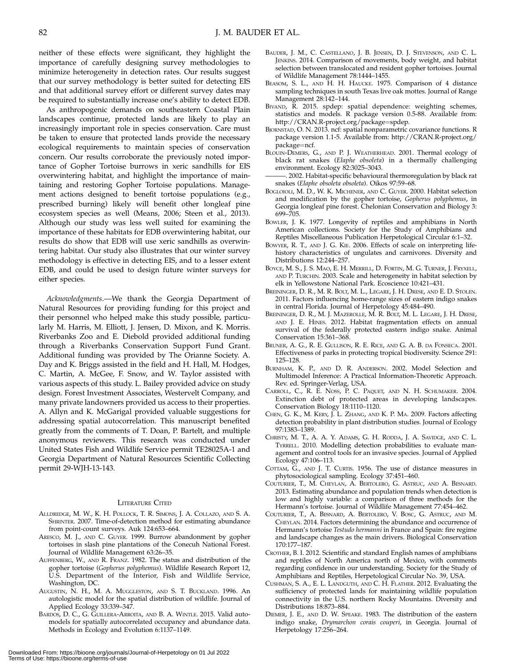neither of these effects were significant, they highlight the importance of carefully designing survey methodologies to minimize heterogeneity in detection rates. Our results suggest that our survey methodology is better suited for detecting EIS and that additional survey effort or different survey dates may be required to substantially increase one's ability to detect EDB.

As anthropogenic demands on southeastern Coastal Plain landscapes continue, protected lands are likely to play an increasingly important role in species conservation. Care must be taken to ensure that protected lands provide the necessary ecological requirements to maintain species of conservation concern. Our results corroborate the previously noted importance of Gopher Tortoise burrows in xeric sandhills for EIS overwintering habitat, and highlight the importance of maintaining and restoring Gopher Tortoise populations. Management actions designed to benefit tortoise populations (e.g., prescribed burning) likely will benefit other longleaf pine ecosystem species as well (Means, 2006; Steen et al., 2013). Although our study was less well suited for examining the importance of these habitats for EDB overwintering habitat, our results do show that EDB will use xeric sandhills as overwintering habitat. Our study also illustrates that our winter survey methodology is effective in detecting EIS, and to a lesser extent EDB, and could be used to design future winter surveys for either species.

Acknowledgments.—We thank the Georgia Department of Natural Resources for providing funding for this project and their personnel who helped make this study possible, particularly M. Harris, M. Elliott, J. Jensen, D. Mixon, and K. Morris. Riverbanks Zoo and E. Diebold provided additional funding through a Riverbanks Conservation Support Fund Grant. Additional funding was provided by The Orianne Society. A. Day and K. Briggs assisted in the field and H. Hall, M. Hodges, C. Martin, A. McGee, F. Snow, and W. Taylor assisted with various aspects of this study. L. Bailey provided advice on study design. Forest Investment Associates, Westervelt Company, and many private landowners provided us access to their properties. A. Allyn and K. McGarigal provided valuable suggestions for addressing spatial autocorrelation. This manuscript benefited greatly from the comments of T. Doan, P. Bartelt, and multiple anonymous reviewers. This research was conducted under United States Fish and Wildlife Service permit TE28025A-1 and Georgia Department of Natural Resources Scientific Collecting permit 29-WJH-13-143.

#### **LITERATURE CITED**

- ALLDREDGE, M. W., K. H. POLLOCK, T. R. SIMONS, J. A. COLLAZO, AND S. A. SHRINTER. 2007. Time-of-detection method for estimating abundance from point-count surveys. Auk 124:653–664.
- ARESCO, M. J., AND C. GUYER. 1999. Burrow abandonment by gopher tortoises in slash pine plantations of the Conecuh National Forest. Journal of Wildlife Management 63:26–35.
- AUFFENBERG, W., AND R. FRANZ. 1982. The status and distribution of the gopher tortoise (Gopherus polyphemus). Wildlife Research Report 12, U.S. Department of the Interior, Fish and Wildlife Service, Washington, DC.
- AUGUSTIN, N. H., M. A. MUGGLESTON, AND S. T. BUCKLAND. 1996. An autologistic model for the spatial distribution of wildlife. Journal of Applied Ecology 33:339–347.
- BARDOS, D. C., G. GUILLERA-ARROITA, AND B. A. WINTLE. 2015. Valid automodels for spatially autocorrelated occupancy and abundance data. Methods in Ecology and Evolution 6:1137–1149.
- BAUDER, J. M., C. CASTELLANO, J. B. JENSEN, D. J. STEVENSON, AND C. L. JENKINS. 2014. Comparison of movements, body weight, and habitat selection between translocated and resident gopher tortoises. Journal of Wildlife Management 78:1444–1455.
- BEASOM, S. L., AND H. H. HAUCKE. 1975. Comparison of 4 distance sampling techniques in south Texas live oak mottes. Journal of Range Management 28:142–144.
- BIVAND, R. 2015. spdep: spatial dependence: weighting schemes, statistics and models. R package version 0.5-88. Available from: http://CRAN.R-project.org/package=spdep.
- BJORNSTAD, O. N. 2013. ncf: spatial nonparametric covariance functions. R package version 1.1-5. Available from: http://CRAN.R-project.org/ package=ncf.
- BLOUIN-DEMERS, G., AND P. J. WEATHERHEAD. 2001. Thermal ecology of black rat snakes (Elaphe obsoleta) in a thermally challenging environment. Ecology 82:3025–3043.
- . 2002. Habitat-specific behavioural thermoregulation by black rat snakes (Elaphe obsoleta obsoleta). Oikos 97:59–68.
- BOGLOIOLI, M. D., W. K. MICHENER, AND C. GUYER. 2000. Habitat selection and modification by the gopher tortoise, Gopherus polyphemus, in Georgia longleaf pine forest. Chelonian Conservation and Biology 3: 699–705.
- BOWLER, J. K. 1977. Longevity of reptiles and amphibians in North American collections. Society for the Study of Amphibians and Reptiles Miscellaneous Publication Herpetological Circular 6:1–32.
- BOWYER, R. T., AND J. G. KIE. 2006. Effects of scale on interpreting lifehistory characteristics of ungulates and carnivores. Diversity and Distributions 12:244–257.
- BOYCE, M. S., J. S. MAO, E. H. MERRILL, D. FORTIN, M. G. TURNER, J. FRYXELL, AND P. TURCHIN. 2003. Scale and heterogeneity in habitat selection by elk in Yellowstone National Park. Ecoscience 10:421–431.
- BREININGER, D. R., M. R. BOLT, M. L., LEGARE, J. H. DRESE, AND E. D. STOLEN. 2011. Factors influencing home-range sizes of eastern indigo snakes in central Florida. Journal of Herpetology 45:484–490.
- BREININGER, D. R., M. J. MAZEROLLE, M. R. BOLT, M. L. LEGARE, J. H. DRESE, AND J. E. HINES. 2012. Habitat fragmentation effects on annual survival of the federally protected eastern indigo snake. Animal Conservation 15:361–368.
- BRUNER, A. G., R. E. GULLISON, R. E. RICE, AND G. A. B. DA FONSECA. 2001. Effectiveness of parks in protecting tropical biodiversity. Science 291: 125–128.
- BURNHAM, K. P., AND D. R. ANDERSON. 2002. Model Selection and Multimodel Inference: A Practical Information-Theoretic Approach. Rev. ed. Springer-Verlag, USA.
- CARROLL, C., R. E. NOSS, P. C. PAQUET, AND N. H. SCHUMAKER. 2004. Extinction debt of protected areas in developing landscapes. Conservation Biology 18:1110–1120.
- CHEN, G. K., M. KERY, J. L. ZHANG, AND K. P. MA. 2009. Factors affecting detection probability in plant distribution studies. Journal of Ecology 97:1383–1389.
- CHRISTY, M. T., A. A. Y. ADAMS, G. H. RODDA, J. A. SAVIDGE, AND C. L. TYRRELL. 2010. Modelling detection probabilities to evaluate management and control tools for an invasive species. Journal of Applied Ecology 47:106–113.
- COTTAM, G., AND J. T. CURTIS. 1956. The use of distance measures in phytosociological sampling. Ecology 37:451–460.
- COUTURIER, T., M. CHEYLAN, A. BERTOLERO, G. ASTRUC, AND A. BESNARD. 2013. Estimating abundance and population trends when detection is low and highly variable: a comparison of three methods for the Hermann's tortoise. Journal of Wildlife Management 77:454–462.
- COUTURIER, T., A. BESNARD, A. BERTOLERO, V. BOSC, G. ASTRUC, AND M. CHEYLAN. 2014. Factors determining the abundance and occurrence of Hermann's tortoise Testudo hermanni in France and Spain: fire regime and landscape changes as the main drivers. Biological Conservation 170:177–187.
- CROTHER, B. I. 2012. Scientific and standard English names of amphibians and reptiles of North America north of Mexico, with comments regarding confidence in our understanding. Society for the Study of Amphibians and Reptiles, Herpetological Circular No. 39, USA.
- CUSHMAN, S. A., E. L. LANDGUTH, AND C. H. FLATHER. 2012. Evaluating the sufficiency of protected lands for maintaining wildlife population connectivity in the U.S. northern Rocky Mountains. Diversity and Distributions 18:873–884.
- DIEMER, J. E., AND D. W. SPEAKE. 1983. The distribution of the eastern indigo snake, Drymarchon corais couperi, in Georgia. Journal of Herpetology 17:256–264.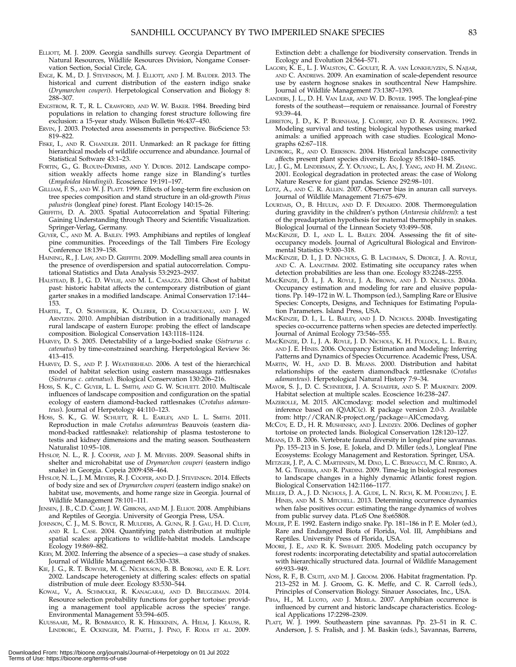- ELLIOTT, M. J. 2009. Georgia sandhills survey. Georgia Department of Natural Resources, Wildlife Resources Division, Nongame Conservation Section, Social Circle, GA.
- ENGE, K. M., D. J. STEVENSON, M. J. ELLIOTT, AND J. M. BAUDER. 2013. The historical and current distribution of the eastern indigo snake (Drymarchon couperi). Herpetological Conservation and Biology 8: 288–307.
- ENGSTROM, R. T., R. L. CRAWFORD, AND W. W. BAKER. 1984. Breeding bird populations in relation to changing forest structure following fire exclusion: a 15-year study. Wilson Bulletin 96:437–450.
- ERVIN, J. 2003. Protected area assessments in perspective. BioScience 53: 819–822.
- FISKE, I., AND R. CHANDLER. 2011. Unmarked: an R package for fitting hierarchical models of wildlife occurrence and abundance. Journal of Statistical Software 43:1–23.
- FORTIN, G., G. BLOUIN-DEMERS, AND Y. DUBOIS. 2012. Landscape composition weakly affects home range size in Blanding's turtles (Emydoidea blandingii). Ecoscience 19:191–197.
- GILLIAM, F. S., AND W. J. PLATT. 1999. Effects of long-term fire exclusion on tree species composition and stand structure in an old-growth Pinus palustris (longleaf pine) forest. Plant Ecology 140:15–26.
- GRIFFITH, D. A. 2003. Spatial Autocorrelation and Spatial Filtering: Gaining Understanding through Theory and Scientific Visualization. Springer-Verlag, Germany.
- GUYER, C., AND M. A. BAILEY. 1993. Amphibians and reptiles of longleaf pine communities. Proceedings of the Tall Timbers Fire Ecology Conference 18:139–158.
- HAINING, R., J. LAW, AND D. GRIFFITH. 2009. Modelling small area counts in the presence of overdispersion and spatial autocorrelation. Computational Statistics and Data Analysis 53:2923–2937.
- HALSTEAD, B. J., G. D. WYLIE, AND M. L. CASAZZA. 2014. Ghost of habitat past: historic habitat affects the contemporary distribution of giant garter snakes in a modified landscape. Animal Conservation 17:144– 153.
- HARTEL, T., O. SCHWEIGER, K. OLLERER, D. COGALNICEANU, AND J. W. ARNTZEN. 2010. Amphibian distribution in a traditionally managed rural landscape of eastern Europe: probing the effect of landscape composition. Biological Conservation 143:1118–1124.
- HARVEY, D. S. 2005. Detectability of a large-bodied snake (Sistrurus c. catenatus) by time-constrained searching. Herpetological Review 36: 413–415.
- HARVEY, D. S., AND P. J. WEATHERHEAD. 2006. A test of the hierarchical model of habitat selection using eastern massasauga rattlesnakes (Sistrurus c. catenatus). Biological Conservation 130:206–216.
- HOSS, S. K., C. GUYER, L. L. SMITH, AND G. W. SCHUETT. 2010. Multiscale influences of landscape composition and configuration on the spatial ecology of eastern diamond-backed rattlesnakes (Crotalus adamanteus). Journal of Herpetology 44:110–123.
- HOSS, S. K., G. W. SCHUETT, R. L. EARLEY, AND L. L. SMITH. 2011. Reproduction in male Crotalus adamanteus Beauvois (eastern diamond-backed rattlesnake): relationship of plasma testosterone to testis and kidney dimensions and the mating season. Southeastern Naturalist 10:95–108.
- HYSLOP, N. L., R. J. COOPER, AND J. M. MEYERS. 2009. Seasonal shifts in shelter and microhabitat use of Drymarchon couperi (eastern indigo snake) in Georgia. Copeia 2009:458–464.
- HYSLOP, N. L., J. M. MEYERS, R. J. COOPER, AND D. J. STEVENSON. 2014. Effects of body size and sex of Drymarchon couperi (eastern indigo snake) on habitat use, movements, and home range size in Georgia. Journal of Wildlife Management 78:101–111.
- JENSEN, J. B., C.D. CAMP, J. W. GIBBONS, AND M. J. ELLIOT. 2008. Amphibians and Reptiles of Georgia. University of Georgia Press, USA.
- JOHNSON, C. J., M. S. BOYCE, R. MULDERS, A. GUNN, R. J. GAU, H. D. CLUFF, AND R. L. CASE. 2004. Quantifying patch distribution at multiple spatial scales: applications to wildlife-habitat models. Landscape Ecology 19:869–882.
- KERY, M. 2002. Inferring the absence of a species—a case study of snakes. Journal of Wildlife Management 66:330–338.
- KIE, J. G., R. T. BOWYER, M. C. NICHOLSON, B. B. BOROSKI, AND E. R. LOFT. 2002. Landscape heterogeniety at differing scales: effects on spatial distribution of mule deer. Ecology 83:530–544.
- KOWAL, V., A. SCHMOLKE, R. KANAGARAJ, AND D. BRUGGEMAN. 2014. Resource selection probability functions for gopher tortoise: providing a management tool applicable across the species' range. Environmental Management 53:594–605.
- KUUSSAARI, M., R. BOMMARCO, R. K. HEIKKINEN, A. HELM, J. KRAUSS, R. LINDBORG, E. OCKINGER, M. PARTEL, J. PINO, F. RODA ET AL. 2009.

Extinction debt: a challenge for biodiversity conservation. Trends in Ecology and Evolution 24:564–571.

- LAGORY, K. E., L. J. WALSTON, C. GOULET, R. A. VAN LONKHUYZEN, S. NAJJAR, AND C. ANDREWS. 2009. An examination of scale-dependent resource use by eastern hognose snakes in southcentral New Hampshire. Journal of Wildlife Management 73:1387–1393.
- LANDERS, J. L., D. H. VAN LEAR, AND W. D. BOYER. 1995. The longleaf-pine forests of the southeast—requiem or renaissance. Journal of Forestry 93:39–44.
- LEBRETON, J. D., K. P. BURNHAM, J. CLOBERT, AND D. R. ANDERSON. 1992. Modeling survival and testing biological hypotheses using marked animals: a unified approach with case studies. Ecological Monographs 62:67–118.
- LINDBORG, R., AND O. ERIKSSON. 2004. Historical landscape connectivity affects present plant species diversity. Ecology 85:1840–1845.
- LIU, J. G., M. LINDERMAN, Z. Y. OUYANG, L. AN, J. YANG, AND H. M. ZHANG. 2001. Ecological degradation in protected areas: the case of Wolong Nature Reserve for giant pandas. Science 292:98–101.
- LOTZ, A., AND C. R. ALLEN. 2007. Observer bias in anuran call surveys. Journal of Wildlife Management 71:675–679.
- LOURDAIS, O., B. HEULIN, AND D. F. DENARDO. 2008. Thermoregulation during gravidity in the children's python (Antaresia childreni): a test of the preadaptation hypothesis for maternal thermophily in snakes. Biological Journal of the Linnean Society 93:499–508.
- MACKENZIE, D. I., AND L. L. BAILEY. 2004. Assessing the fit of siteoccupancy models. Journal of Agricultural Biological and Environmental Statistics 9:300–318.
- MACKENZIE, D. I., J. D. NICHOLS, G. B. LACHMAN, S. DROEGE, J. A. ROYLE, AND C. A. LANGTIMM. 2002. Estimating site occupancy rates when detection probabilities are less than one. Ecology 83:2248–2255.
- MACKENZIE, D. I., J. A. ROYLE, J. A. BROWN, AND J. D. NICHOLS. 2004a. Occupancy estimation and modeling for rare and elusive populations. Pp. 149–172 in W. L. Thompson (ed.), Sampling Rare or Elusive Species: Concepts, Designs, and Techniques for Estimating Population Parameters. Island Press, USA.
- MACKENZIE, D. I., L. L. BAILEY, AND J. D. NICHOLS. 2004b. Investigating species co-occurrence patterns when species are detected imperfectly. Journal of Animal Ecology 73:546–555.
- MACKENZIE, D. I., J. A. ROYLE, J. D. NICHOLS, K. H. POLLOCK, L. L. BAILEY, AND J. E. HINES. 2006. Occupancy Estimation and Modeling: Inferring Patterns and Dynamics of Species Occurrence. Academic Press, USA.
- MARTIN, W. H., AND D. B. MEANS. 2000. Distribution and habitat relationships of the eastern diamondback rattlesnake (Crotalus adamanteus). Herpetological Natural History 7:9–34.
- MAYOR, S. J., D. C. SCHNEIDER, J. A. SCHAEFER, AND S. P. MAHONEY. 2009. Habitat selection at multiple scales. Ecoscience 16:238–247.
- MAZEROLLE, M. 2015. AICcmodavg: model selection and multimodel inference based on (Q)AIC(c). R package version 2.0-3. Available from: http://CRAN.R-project.org/package=AICcmodavg.
- MCCOY, E. D., H. R. MUSHINSKY, AND J. LINDZEY. 2006. Declines of gopher tortoise on protected lands. Biological Conservation 128:120–127.
- MEANS, D. B. 2006. Vertebrate faunal diversity in longleaf pine savannas. Pp. 155–213 in S. Jose, E. Jokela, and D. Miller (eds.), Longleaf Pine Ecosystems: Ecology Management and Restoration. Springer, USA.
- METZGER, J. P., A. C. MARTENSEN, M. DIXO, L. C. BERNACCI, M. C. RIBEIRO, A. M. G. TEIXEIRA, AND R. PARDINI. 2009. Time-lag in biological responses to landscape changes in a highly dynamic Atlantic forest region. Biological Conservation 142:1166–1177.
- MILLER, D. A., J. D. NICHOLS, J. A. GUDE, L. N. RICH, K. M. PODRUZNY, J. E. HINES, AND M. S. MITCHELL. 2013. Determining occurrence dynamics when false positives occur: estimating the range dynamics of wolves from public survey data. PLoS One 8:e65808.
- MOLER, P. E. 1992. Eastern indigo snake. Pp. 181–186 in P. E. Moler (ed.), Rare and Endangered Biota of Florida, Vol. III, Amphibians and Reptiles. University Press of Florida, USA.
- MOORE, J. E., AND R. K. SWIHART. 2005. Modeling patch occupancy by forest rodents: incorporating detectability and spatial autocorrelation with hierarchically structured data. Journal of Wildlife Management 69:933–949.
- NOSS, R. F., B. CSUITI, AND M. J. GROOM. 2006. Habitat fragmentation. Pp. 213–252 in M. J. Groom, G. K. Meffe, and C. R. Carroll (eds.), Principles of Conservation Biology. Sinauer Associates, Inc., USA.
- PIHA, H., M. LUOTO, AND J. MERILA. 2007. Amphibian occurrence is influenced by current and historic landscape characteristics. Ecological Applications 17:2298–2309.
- PLATT, W. J. 1999. Southeastern pine savannas. Pp. 23–51 in R. C. Anderson, J. S. Fralish, and J. M. Baskin (eds.), Savannas, Barrens,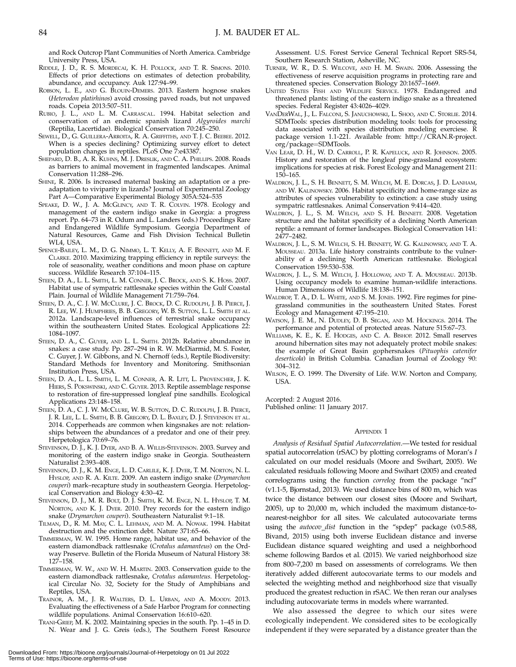and Rock Outcrop Plant Communities of North America. Cambridge University Press, USA.

- RIDDLE, J. D., R. S. MORDECAI, K. H. POLLOCK, AND T. R. SIMONS. 2010. Effects of prior detections on estimates of detection probability, abundance, and occupancy. Auk 127:94–99.
- ROBSON, L. E., AND G. BLOUIN-DEMERS. 2013. Eastern hognose snakes (Heterodon platirhinos) avoid crossing paved roads, but not unpaved roads. Copeia 2013:507–511.
- RUBIO, J. L., AND L. M. CARRASCAL. 1994. Habitat selection and conservation of an endemic spanish lizard Algyroides marchi (Reptilia, Lacertidae). Biological Conservation 70:245–250.
- SEWELL, D., G. GUILLERA-ARROITA, R. A. GRIFFITHS, AND T. J. C. BEEBEE. 2012. When is a species declining? Optimizing survey effort to detect population changes in reptiles. PLoS One 7:e43387.
- SHEPARD, D. B., A. R. KUHNS, M. J. DRESLIK, AND C. A. PHILLIPS. 2008. Roads as barriers to animal movement in fragmented landscapes. Animal Conservation 11:288–296.
- SHINE, R. 2006. Is increased maternal basking an adaptation or a preadaptation to viviparity in lizards? Journal of Experimental Zoology Part A—Comparative Experimental Biology 305A:524–535
- SPEAKE, D. W., J. A. McGLINCY, AND T. R. COLVIN. 1978. Ecology and management of the eastern indigo snake in Georgia: a progress report. Pp. 64–73 in R. Odum and L. Landers (eds.) Proceedings Rare and Endangered Wildlife Symposium. Georgia Department of Natural Resources, Game and Fish Division Technical Bulletin WL4, USA.
- SPENCE-BAILEY, L. M., D. G. NIMMO, L. T. KELLY, A. F. BENNETT, AND M. F. CLARKE. 2010. Maximizing trapping efficiency in reptile surveys: the role of seasonality, weather conditions and moon phase on capture success. Wildlife Research 37:104–115.
- STEEN, D. A., L. L. SMITH, L. M. CONNER, J. C. BROCK, AND S. K. HOSS. 2007. Habitat use of sympatric rattlesnake species within the Gulf Coastal Plain. Journal of Wildlife Management 71:759–764.
- STEEN, D. A., C. J. W. MCCLURE, J. C. BROCK, D. C. RUDOLPH, J. B. PIERCE, J. R. LEE, W. J. HUMPHRIES, B. B. GREGORY, W. B. SUTTON, L. L. SMITH ET AL. 2012a. Landscape-level influences of terrestrial snake occupancy within the southeastern United States. Ecological Applications 22: 1084–1097.
- STEEN, D. A., C. GUYER, AND L. L. SMITH. 2012b. Relative abundance in snakes: a case study. Pp. 287–294 in R. W. McDiarmid, M. S. Foster, C. Guyer, J. W. Gibbons, and N. Chernoff (eds.), Reptile Biodiversity: Standard Methods for Inventory and Monitoring. Smithsonian Institution Press, USA.
- STEEN, D. A., L. L. SMITH, L. M. CONNER, A. R. LITT, L. PROVENCHER, J. K. HIERS, S. POKSWINSKI, AND C. GUYER. 2013. Reptile assemblage response to restoration of fire-suppressed longleaf pine sandhills. Ecological Applications 23:148–158.
- STEEN, D. A., C. J. W. MCCLURE, W. B. SUTTON, D. C. RUDOLPH, J. B. PIERCE, J. R. LEE, L. L. SMITH, B. B. GREGORY, D. L. BAXLEY, D. J. STEVENSON ET AL. 2014. Copperheads are common when kingsnakes are not: relationships between the abundances of a predator and one of their prey. Herpetologica 70:69–76.
- STEVENSON, D. J., K. J. DYER, AND B. A. WILLIS-STEVENSON. 2003. Survey and monitoring of the eastern indigo snake in Georgia. Southeastern Naturalist 2:393–408.
- STEVENSON, D. J., K. M. ENGE, L. D. CARLILE, K. J. DYER, T. M. NORTON, N. L. HYSLOP, AND R. A. KILTE. 2009. An eastern indigo snake (Drymarchon couperi) mark–recapture study in southeastern Georgia. Herpetological Conservation and Biology 4:30–42.
- STEVENSON, D. J., M. R. BOLT, D. J. SMITH, K. M. ENGE, N. L. HYSLOP, T. M. NORTON, AND K. J. DYER. 2010. Prey records for the eastern indigo snake (Drymarchon couperi). Southeastern Naturalist 9:1–18.
- TILMAN, D., R. M. MAY, C. L. LEHMAN, AND M. A. NOWAK. 1994. Habitat destruction and the extinction debt. Nature 371:65–66.
- TIMMERMAN, W. W. 1995. Home range, habitat use, and behavior of the eastern diamondback rattlesnake (Crotalus adamanteus) on the Ordway Preserve. Bulletin of the Florida Museum of Natural History 38: 127–158.
- TIMMERMAN, W. W., AND W. H. MARTIN. 2003. Conservation guide to the eastern diamondback rattlesnake, Crotalus adamanteus. Herpetological Circular No. 32, Society for the Study of Amphibians and Reptiles, USA.
- TRAINOR, A. M., J. R. WALTERS, D. L. URBAN, AND A. MOODY. 2013. Evaluating the effectiveness of a Safe Harbor Program for connecting wildlife populations. Animal Conservation 16:610–620.
- TRANI-GRIEP, M. K. 2002. Maintaining species in the south. Pp. 1–45 in D. N. Wear and J. G. Greis (eds.), The Southern Forest Resource

Assessment. U.S. Forest Service General Technical Report SRS-54, Southern Research Station, Asheville, NC.

- TURNER, W. R., D. S. WILCOVE, AND H. M. SWAIN. 2006. Assessing the effectiveness of reserve acquisition programs in protecting rare and threatened species. Conservation Biology 20:1657–1669.
- UNITED STATES FISH AND WILDLIFE SERVICE. 1978. Endangered and threatened plants: listing of the eastern indigo snake as a threatened species. Federal Register 43:4026–4029.
- VANDERWAL, J., L. FALCONI, S. JANUCHOWSKI, L. SHOO, AND C. STORLIE. 2014. SDMTools: species distribution modeling tools: tools for processing data associated with species distribution modeling exerciese. R package version 1.1-221. Available from: http://CRAN.R-project. org/package=SDMTools.
- VAN LEAR, D. H., W. D. CARROLL, P. R. KAPELUCK, AND R. JOHNSON. 2005. History and restoration of the longleaf pine-grassland ecosystem: implications for species at risk. Forest Ecology and Management 211: 150–165.
- WALDRON, J. L., S. H. BENNETT, S. M. WELCH, M. E. DORCAS, J. D. LANHAM, AND W. KALINOWSKY. 2006. Habitat specificity and home-range size as attributes of species vulnerability to extinction: a case study using sympatric rattlesnakes. Animal Conservation 9:414–420.
- WALDRON, J. L., S. M. WELCH, AND S. H. BENNETT. 2008. Vegetation structure and the habitat specificity of a declining North American reptile: a remnant of former landscapes. Biological Conservation 141: 2477–2482.
- WALDRON, J. L., S. M. WELCH, S. H. BENNETT, W. G. KALINOWSKY, AND T. A. MOUSSEAU. 2013a. Life history constraints contribute to the vulnerability of a declining North American rattlesnake. Biological Conservation 159:530–538.
- WALDRON, J. L., S. M. WELCH, J. HOLLOWAY, AND T. A. MOUSSEAU. 2013b. Using occupancy models to examine human-wildlife interactions. Human Dimensions of Wildlife 18:138–151.
- WALDROP, T. A., D. L. WHITE, AND S. M. JONES. 1992. Fire regimes for pinegrassland communities in the southeastern United States. Forest Ecology and Management 47:195–210.
- WATSON, J. E. M., N. DUDLEY, D. B. SEGAN, AND M. HOCKINGS. 2014. The performance and potential of protected areas. Nature 515:67–73.
- WILLIAMS, K. E., K. E. HODGES, AND C. A. BISHOP. 2012. Small reserves around hibernation sites may not adequately protect mobile snakes: the example of Great Basin gophersnakes (Pituophis catenifer deserticola) in British Columbia. Canadian Journal of Zoology 90: 304–312.
- WILSON, E. O. 1999. The Diversity of Life. W.W. Norton and Company, USA.

Accepted: 2 August 2016.

Published online: 11 January 2017.

### APPENDIX 1

Analysis of Residual Spatial Autocorrelation.—We tested for residual spatial autocorrelation (rSAC) by plotting correlograms of Moran's I calculated on our model residuals (Moore and Swihart, 2005). We calculated residuals following Moore and Swihart (2005) and created correlograms using the function correlog from the package ''ncf'' (v1.1-5, Bjornstad, 2013). We used distance bins of 800 m, which was twice the distance between our closest sites (Moore and Swihart, 2005), up to 20,000 m, which included the maximum distance-tonearest-neighbor for all sites. We calculated autocovariate terms using the *autocov\_dist* function in the "spdep" package (v0.5-88, Bivand, 2015) using both inverse Euclidean distance and inverse Euclidean distance squared weighting and used a neighborhood scheme following Bardos et al. (2015). We varied neighborhood size from 800–7,200 m based on assessments of correlograms. We then iteratively added different autocovariate terms to our models and selected the weighting method and neighborhood size that visually produced the greatest reduction in rSAC. We then reran our analyses including autocovariate terms in models where warranted.

We also assessed the degree to which our sites were ecologically independent. We considered sites to be ecologically independent if they were separated by a distance greater than the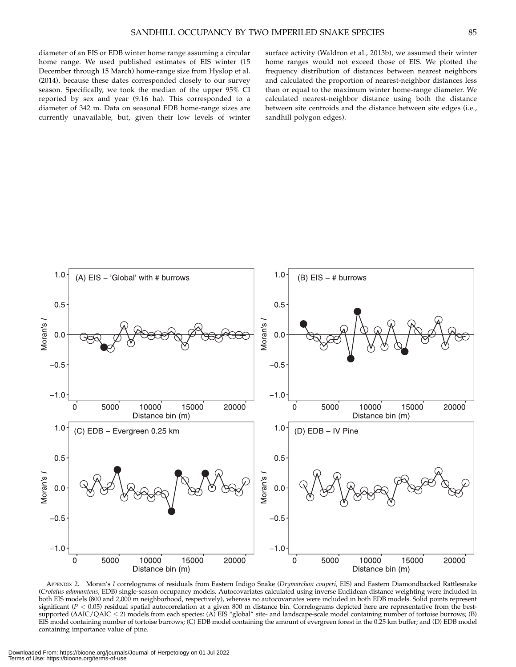surface activity (Waldron et al., 2013b), we assumed their winter home ranges would not exceed those of EIS. We plotted the frequency distribution of distances between nearest neighbors and calculated the proportion of nearest-neighbor distances less than or equal to the maximum winter home-range diameter. We calculated nearest-neighbor distance using both the distance between site centroids and the distance between site edges (i.e., sandhill polygon edges).



APPENDIX 2. Moran's I correlograms of residuals from Eastern Indigo Snake (Drymarchon couperi, EIS) and Eastern Diamondbacked Rattlesnake (Crotalus adamanteus, EDB) single-season occupancy models. Autocovariates calculated using inverse Euclidean distance weighting were included in both EIS models (800 and 2,000 m neighborhood, respectively), whereas no autocovariates were included in both EDB models. Solid points represent significant ( $P < 0.05$ ) residual spatial autocorrelation at a given 800 m distance bin. Correlograms depicted here are representative from the bestsupported ( $\Delta$ AIC/QAIC  $\leq$  2) models from each species: (A) EIS "global" site- and landscape-scale model containing number of tortoise burrows; (B) EIS model containing number of tortoise burrows; (C) EDB model containing the amount of evergreen forest in the 0.25 km buffer; and (D) EDB model containing importance value of pine.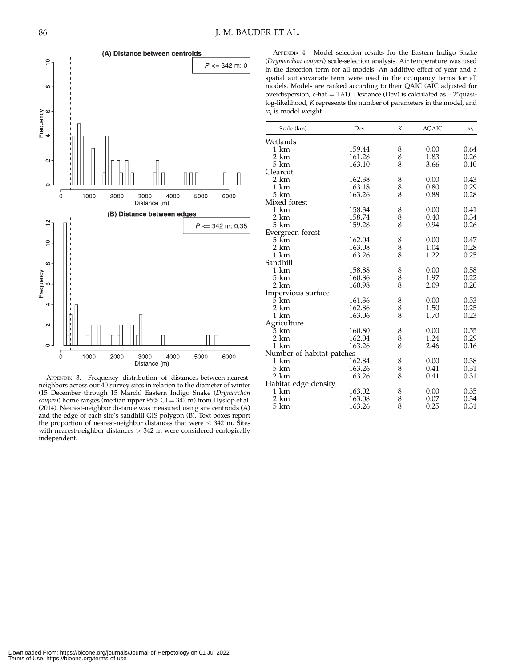

APPENDIX 3. Frequency distribution of distances-between-nearestneighbors across our 40 survey sites in relation to the diameter of winter (15 December through 15 March) Eastern Indigo Snake (Drymarchon *couperi*) home ranges (median upper  $95\%$  CI =  $342$  m) from Hyslop et al. (2014). Nearest-neighbor distance was measured using site centroids (A) and the edge of each site's sandhill GIS polygon (B). Text boxes report the proportion of nearest-neighbor distances that were  $\leq$  342 m. Sites with nearest-neighbor distances > 342 m were considered ecologically independent.

APPENDIX 4. Model selection results for the Eastern Indigo Snake (Drymarchon couperi) scale-selection analysis. Air temperature was used in the detection term for all models. An additive effect of year and a spatial autocovariate term were used in the occupancy terms for all models. Models are ranked according to their QAIC (AIC adjusted for overdispersion, c-hat = 1.61). Deviance (Dev) is calculated as  $-2^*$ quasilog-likelihood, K represents the number of parameters in the model, and  $w_i$  is model weight.

| Scale (km)                | Dev    | K             | <b>AQAIC</b> | $w_i$ |
|---------------------------|--------|---------------|--------------|-------|
| Wetlands                  |        |               |              |       |
| 1 km                      | 159.44 | 8             | 0.00         | 0.64  |
| 2 km                      | 161.28 | 8             | 1.83         | 0.26  |
| 5 km                      | 163.10 | 8             | 3.66         | 0.10  |
| Clearcut                  |        |               |              |       |
| 2 km                      | 162.38 | 8             | 0.00         | 0.43  |
| 1 km                      | 163.18 | 8             | 0.80         | 0.29  |
| 5 km                      | 163.26 | 8             | 0.88         | 0.28  |
| Mixed forest              |        |               |              |       |
| 1 km                      | 158.34 | 8             | 0.00         | 0.41  |
| 2 km                      | 158.74 | 8             | 0.40         | 0.34  |
| 5 km                      | 159.28 | 8             | 0.94         | 0.26  |
| Evergreen forest          |        |               |              |       |
| 5 km                      | 162.04 | 8             | 0.00         | 0.47  |
| 2 km                      | 163.08 | 8             | 1.04         | 0.28  |
| 1 km                      | 163.26 | 8             | 1.22         | 0.25  |
| Sandhill                  |        |               |              |       |
| 1 km                      | 158.88 | 8             | 0.00         | 0.58  |
| 5 km                      | 160.86 | 8             | 1.97         | 0.22  |
| 2 km                      | 160.98 | $\bar{8}$     | 2.09         | 0.20  |
| Impervious surface        |        |               |              |       |
| 5 km                      | 161.36 | 8             | 0.00         | 0.53  |
| 2 km                      | 162.86 | $\frac{8}{8}$ | 1.50         | 0.25  |
| 1 km                      | 163.06 |               | 1.70         | 0.23  |
| Agriculture               |        |               |              |       |
| 5 km                      | 160.80 | 8             | 0.00         | 0.55  |
| 2 km                      | 162.04 | 8             | 1.24         | 0.29  |
| 1 km                      | 163.26 | 8             | 2.46         | 0.16  |
| Number of habitat patches |        |               |              |       |
| 1 km                      | 162.84 | 8             | 0.00         | 0.38  |
| 5 km                      | 163.26 | 8             | 0.41         | 0.31  |
| 2 km                      | 163.26 | 8             | 0.41         | 0.31  |
| Habitat edge density      |        |               |              |       |
| 1 km                      | 163.02 | 8             | 0.00         | 0.35  |
| 2 km                      | 163.08 | $\frac{8}{8}$ | 0.07         | 0.34  |
| 5 km                      | 163.26 |               | 0.25         | 0.31  |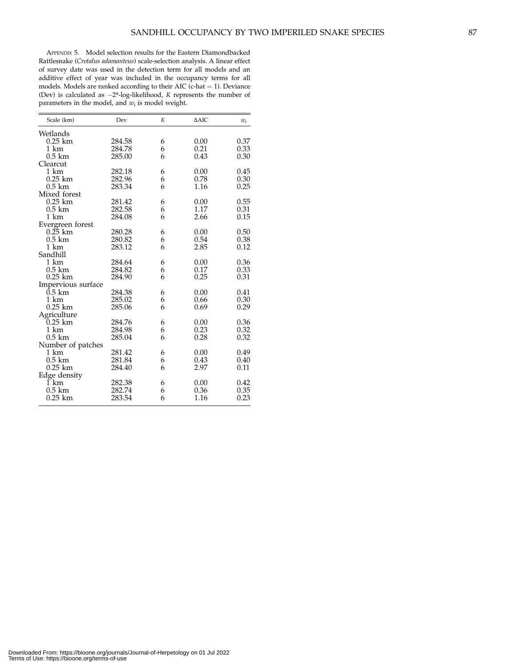APPENDIX 5. Model selection results for the Eastern Diamondbacked Rattlesnake (Crotalus adamanteus) scale-selection analysis. A linear effect of survey date was used in the detection term for all models and an additive effect of year was included in the occupancy terms for all models. Models are ranked according to their AIC (c-hat = 1). Deviance (Dev) is calculated as  $-2$ \*-log-likelihood, K represents the number of parameters in the model, and  $w_i$  is model weight.

| Wetlands<br>$0.25$ km<br>284.58<br>0.37<br>0.00<br>6<br>284.78<br>0.21<br>0.33<br>6<br>1 km<br>$0.5 \text{ km}$<br>6<br>0.30<br>285.00<br>0.43<br>Clearcut<br>1 km<br>0.00<br>282.18<br>6<br>0.45<br>0.30<br>$0.25$ km<br>282.96<br>0.78<br>6<br>$0.5 \text{ km}$<br>283.34<br>0.25<br>6<br>1.16<br>Mixed forest<br>$0.25$ km<br>0.55<br>281.42<br>0.00<br>6<br>1.17<br>$0.5 \text{ km}$<br>282.58<br>0.31<br>6<br>0.15<br>1 km<br>284.08<br>6<br>2.66<br>Evergreen forest<br>$0.25$ km<br>280.28<br>0.00<br>0.50<br>6<br>0.54<br>0.38<br>$0.5 \text{ km}$<br>280.82<br>6<br>0.12<br>283.12<br>6<br>2.85<br>1 km<br>Sandhill<br>0.36<br>1 km<br>284.64<br>0.00<br>6<br>0.33<br>$0.5 \mathrm{km}$<br>284.82<br>6<br>0.17<br>6<br>$0.25$ km<br>284.90<br>0.25<br>0.31<br>Impervious surface<br>$0.5 \text{ km}$<br>284.38<br>0.00<br>0.41<br>6<br>1 km<br>0.30<br>285.02<br>6<br>0.66<br>0.29<br>$0.25$ km<br>285.06<br>6<br>0.69<br>Agriculture<br>0.25 km<br>0.36<br>284.76<br>0.00<br>6<br>1 km<br>284.98<br>6<br>0.23<br>0.32<br>0.32<br>285.04<br>6<br>0.28<br>$0.5 \text{ km}$<br>Number of patches<br>281.42<br>0.00<br>0.49<br>1 km<br>6<br>$0.5 \text{ km}$<br>281.84<br>6<br>0.43<br>0.40<br>6<br>0.11<br>$0.25$ km<br>284.40<br>2.97<br>Edge density<br>1 km<br>282.38<br>6<br>0.00<br>0.42<br>$0.5 \text{ km}$<br>282.74<br>0.35<br>0.36<br>6 | Scale (km) | Dev    | K | $\triangle$ AIC | $w_i$ |
|---------------------------------------------------------------------------------------------------------------------------------------------------------------------------------------------------------------------------------------------------------------------------------------------------------------------------------------------------------------------------------------------------------------------------------------------------------------------------------------------------------------------------------------------------------------------------------------------------------------------------------------------------------------------------------------------------------------------------------------------------------------------------------------------------------------------------------------------------------------------------------------------------------------------------------------------------------------------------------------------------------------------------------------------------------------------------------------------------------------------------------------------------------------------------------------------------------------------------------------------------------------------------------------------------------------------------------------------------------|------------|--------|---|-----------------|-------|
|                                                                                                                                                                                                                                                                                                                                                                                                                                                                                                                                                                                                                                                                                                                                                                                                                                                                                                                                                                                                                                                                                                                                                                                                                                                                                                                                                         |            |        |   |                 |       |
|                                                                                                                                                                                                                                                                                                                                                                                                                                                                                                                                                                                                                                                                                                                                                                                                                                                                                                                                                                                                                                                                                                                                                                                                                                                                                                                                                         |            |        |   |                 |       |
|                                                                                                                                                                                                                                                                                                                                                                                                                                                                                                                                                                                                                                                                                                                                                                                                                                                                                                                                                                                                                                                                                                                                                                                                                                                                                                                                                         |            |        |   |                 |       |
|                                                                                                                                                                                                                                                                                                                                                                                                                                                                                                                                                                                                                                                                                                                                                                                                                                                                                                                                                                                                                                                                                                                                                                                                                                                                                                                                                         |            |        |   |                 |       |
|                                                                                                                                                                                                                                                                                                                                                                                                                                                                                                                                                                                                                                                                                                                                                                                                                                                                                                                                                                                                                                                                                                                                                                                                                                                                                                                                                         |            |        |   |                 |       |
|                                                                                                                                                                                                                                                                                                                                                                                                                                                                                                                                                                                                                                                                                                                                                                                                                                                                                                                                                                                                                                                                                                                                                                                                                                                                                                                                                         |            |        |   |                 |       |
|                                                                                                                                                                                                                                                                                                                                                                                                                                                                                                                                                                                                                                                                                                                                                                                                                                                                                                                                                                                                                                                                                                                                                                                                                                                                                                                                                         |            |        |   |                 |       |
|                                                                                                                                                                                                                                                                                                                                                                                                                                                                                                                                                                                                                                                                                                                                                                                                                                                                                                                                                                                                                                                                                                                                                                                                                                                                                                                                                         |            |        |   |                 |       |
|                                                                                                                                                                                                                                                                                                                                                                                                                                                                                                                                                                                                                                                                                                                                                                                                                                                                                                                                                                                                                                                                                                                                                                                                                                                                                                                                                         |            |        |   |                 |       |
|                                                                                                                                                                                                                                                                                                                                                                                                                                                                                                                                                                                                                                                                                                                                                                                                                                                                                                                                                                                                                                                                                                                                                                                                                                                                                                                                                         |            |        |   |                 |       |
|                                                                                                                                                                                                                                                                                                                                                                                                                                                                                                                                                                                                                                                                                                                                                                                                                                                                                                                                                                                                                                                                                                                                                                                                                                                                                                                                                         |            |        |   |                 |       |
|                                                                                                                                                                                                                                                                                                                                                                                                                                                                                                                                                                                                                                                                                                                                                                                                                                                                                                                                                                                                                                                                                                                                                                                                                                                                                                                                                         |            |        |   |                 |       |
|                                                                                                                                                                                                                                                                                                                                                                                                                                                                                                                                                                                                                                                                                                                                                                                                                                                                                                                                                                                                                                                                                                                                                                                                                                                                                                                                                         |            |        |   |                 |       |
|                                                                                                                                                                                                                                                                                                                                                                                                                                                                                                                                                                                                                                                                                                                                                                                                                                                                                                                                                                                                                                                                                                                                                                                                                                                                                                                                                         |            |        |   |                 |       |
|                                                                                                                                                                                                                                                                                                                                                                                                                                                                                                                                                                                                                                                                                                                                                                                                                                                                                                                                                                                                                                                                                                                                                                                                                                                                                                                                                         |            |        |   |                 |       |
|                                                                                                                                                                                                                                                                                                                                                                                                                                                                                                                                                                                                                                                                                                                                                                                                                                                                                                                                                                                                                                                                                                                                                                                                                                                                                                                                                         |            |        |   |                 |       |
|                                                                                                                                                                                                                                                                                                                                                                                                                                                                                                                                                                                                                                                                                                                                                                                                                                                                                                                                                                                                                                                                                                                                                                                                                                                                                                                                                         |            |        |   |                 |       |
|                                                                                                                                                                                                                                                                                                                                                                                                                                                                                                                                                                                                                                                                                                                                                                                                                                                                                                                                                                                                                                                                                                                                                                                                                                                                                                                                                         |            |        |   |                 |       |
|                                                                                                                                                                                                                                                                                                                                                                                                                                                                                                                                                                                                                                                                                                                                                                                                                                                                                                                                                                                                                                                                                                                                                                                                                                                                                                                                                         |            |        |   |                 |       |
|                                                                                                                                                                                                                                                                                                                                                                                                                                                                                                                                                                                                                                                                                                                                                                                                                                                                                                                                                                                                                                                                                                                                                                                                                                                                                                                                                         |            |        |   |                 |       |
|                                                                                                                                                                                                                                                                                                                                                                                                                                                                                                                                                                                                                                                                                                                                                                                                                                                                                                                                                                                                                                                                                                                                                                                                                                                                                                                                                         |            |        |   |                 |       |
|                                                                                                                                                                                                                                                                                                                                                                                                                                                                                                                                                                                                                                                                                                                                                                                                                                                                                                                                                                                                                                                                                                                                                                                                                                                                                                                                                         |            |        |   |                 |       |
|                                                                                                                                                                                                                                                                                                                                                                                                                                                                                                                                                                                                                                                                                                                                                                                                                                                                                                                                                                                                                                                                                                                                                                                                                                                                                                                                                         |            |        |   |                 |       |
|                                                                                                                                                                                                                                                                                                                                                                                                                                                                                                                                                                                                                                                                                                                                                                                                                                                                                                                                                                                                                                                                                                                                                                                                                                                                                                                                                         |            |        |   |                 |       |
|                                                                                                                                                                                                                                                                                                                                                                                                                                                                                                                                                                                                                                                                                                                                                                                                                                                                                                                                                                                                                                                                                                                                                                                                                                                                                                                                                         |            |        |   |                 |       |
|                                                                                                                                                                                                                                                                                                                                                                                                                                                                                                                                                                                                                                                                                                                                                                                                                                                                                                                                                                                                                                                                                                                                                                                                                                                                                                                                                         |            |        |   |                 |       |
|                                                                                                                                                                                                                                                                                                                                                                                                                                                                                                                                                                                                                                                                                                                                                                                                                                                                                                                                                                                                                                                                                                                                                                                                                                                                                                                                                         |            |        |   |                 |       |
|                                                                                                                                                                                                                                                                                                                                                                                                                                                                                                                                                                                                                                                                                                                                                                                                                                                                                                                                                                                                                                                                                                                                                                                                                                                                                                                                                         |            |        |   |                 |       |
|                                                                                                                                                                                                                                                                                                                                                                                                                                                                                                                                                                                                                                                                                                                                                                                                                                                                                                                                                                                                                                                                                                                                                                                                                                                                                                                                                         |            |        |   |                 |       |
|                                                                                                                                                                                                                                                                                                                                                                                                                                                                                                                                                                                                                                                                                                                                                                                                                                                                                                                                                                                                                                                                                                                                                                                                                                                                                                                                                         |            |        |   |                 |       |
|                                                                                                                                                                                                                                                                                                                                                                                                                                                                                                                                                                                                                                                                                                                                                                                                                                                                                                                                                                                                                                                                                                                                                                                                                                                                                                                                                         |            |        |   |                 |       |
|                                                                                                                                                                                                                                                                                                                                                                                                                                                                                                                                                                                                                                                                                                                                                                                                                                                                                                                                                                                                                                                                                                                                                                                                                                                                                                                                                         |            |        |   |                 |       |
|                                                                                                                                                                                                                                                                                                                                                                                                                                                                                                                                                                                                                                                                                                                                                                                                                                                                                                                                                                                                                                                                                                                                                                                                                                                                                                                                                         |            |        |   |                 |       |
|                                                                                                                                                                                                                                                                                                                                                                                                                                                                                                                                                                                                                                                                                                                                                                                                                                                                                                                                                                                                                                                                                                                                                                                                                                                                                                                                                         |            |        |   |                 |       |
|                                                                                                                                                                                                                                                                                                                                                                                                                                                                                                                                                                                                                                                                                                                                                                                                                                                                                                                                                                                                                                                                                                                                                                                                                                                                                                                                                         |            |        |   |                 |       |
|                                                                                                                                                                                                                                                                                                                                                                                                                                                                                                                                                                                                                                                                                                                                                                                                                                                                                                                                                                                                                                                                                                                                                                                                                                                                                                                                                         | $0.25$ km  | 283.54 | 6 | 1.16            | 0.23  |